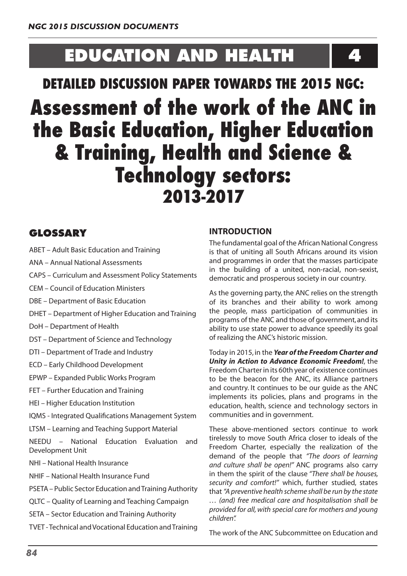# **EDUCATION AND HEALTH 4**

# **DETAILED DISCUSSION PAPER TOWARDS THE 2015 NGC: Assessment of the work of the ANC in the Basic Education, Higher Education & Training, Health and Science & Technology sectors: 2013-2017**

# **GLOSSARY**

- ABET Adult Basic Education and Training
- ANA Annual National Assessments
- CAPS Curriculum and Assessment Policy Statements
- CEM Council of Education Ministers
- DBE Department of Basic Education
- DHET Department of Higher Education and Training
- DoH Department of Health
- DST Department of Science and Technology
- DTI Department of Trade and Industry
- ECD Early Childhood Development
- EPWP Expanded Public Works Program
- FET Further Education and Training
- HEI Higher Education Institution
- IQMS Integrated Qualifications Management System
- LTSM Learning and Teaching Support Material
- NEEDU National Education Evaluation and Development Unit
- NHI National Health Insurance
- NHIF National Health Insurance Fund
- PSETA Public Sector Education and Training Authority
- QLTC Quality of Learning and Teaching Campaign
- SETA Sector Education and Training Authority
- TVET -Technical andVocational Education andTraining

# **INTRODUCTION**

The fundamental goal of the African National Congress is that of uniting all South Africans around its vision and programmes in order that the masses participate in the building of a united, non-racial, non-sexist, democratic and prosperous society in our country.

As the governing party, the ANC relies on the strength of its branches and their ability to work among the people, mass participation of communities in programs of the ANC and those of government,and its ability to use state power to advance speedily its goal of realizing the ANC's historic mission.

Today in 2015, in the *Year of the Freedom Charter and Unity in Action to Advance Economic Freedom!*, the Freedom Charterin its 60th year of existence continues to be the beacon for the ANC, its Alliance partners and country. It continues to be our guide as the ANC implements its policies, plans and programs in the education, health, science and technology sectors in communities and in government.

These above-mentioned sectors continue to work tirelessly to move South Africa closer to ideals of the Freedom Charter, especially the realization of the demand of the people that *"The doors of learning and culture shall be open!"* ANC programs also carry in them the spirit of the clause *"There shall be houses, security and comfort!"* which, further studied, states that *"A preventive health scheme shall be run by the state … (and) free medical care and hospitalisation shall be provided for all, with special care for mothers and young children".*

The work of the ANC Subcommittee on Education and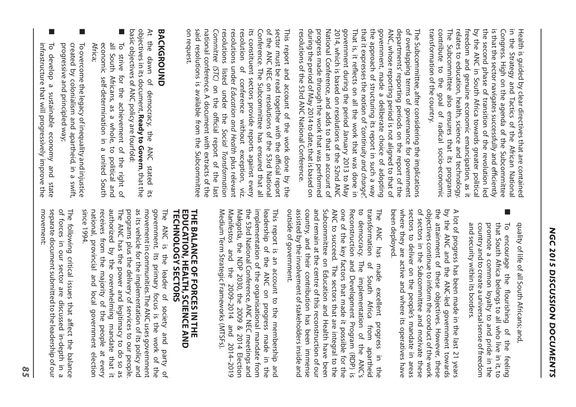Health is guided ड् clear directives that are contained in. the Strategy and Tactics of the African National Congress. High on the agenda of the Subcommittee is that the sector navigates successfully and efficiently the second phase of transition of the revolution led by the ANC in. South Africa towards greater political freedom and genuine economic emancipation, as  $\equiv$ relates  $\vec{\circ}$ education, health, science and technology. The Subcommittee also ensures that its programs contribute  $\vec{o}$ the goal of radical socio-economic transformation of the country.

The Subcommittee, after considering the implications of overlapping terms of governance for government departments' reporting periods on the report of the ANC, whose reporting period is not aligned  $\overline{c}$ that of government, made  $\mathbf{\omega}$ deliberate choice of adopting the approach of structuring its report  $\Xi$ . such a way that it. expresses the notion of *"continuity and change".*  That is,  $\exists$ : reflects on  $\equiv$ the work that was done  $\Xi$ . government during the period January 2013  $\vec{o}$ May 2014, which is based on resolutions of the 52nd ANC National Conference, and adds  $\vec{o}$ that an account of progress made through the work that was performed during the period of May 2014 to date, that is based on resolutions of the 53rd ANC National Conference.

This report and account of the work done by the sector must be read together with the official report of the ANC NEC on resolutions of the 53rd National Conference. The Subcommittee has ensured that  $\stackrel{\omega}{=}$ its constituent sectors provide reports against every resolution of conference without exception, viz. resolutions under *Education and Health* plus relevant resolutions listed under the *Social Transformation Committee (STC)* on the official report of the last national conference.  $\triangleright$ document with extracts of the said resolutions is available from the Subcommittee on request.

# **BACKGROUND BACKGROUND**

At the dawn of democracy, the ANC stated its objectives  $\Xi$ . its document, **Ready to Govern**,that the basic objectives of ANC policy are fourfold:

- ■ To strive for the achievement of the right of  $\overset{\mathsf{p}}{=}$ South Africans, as a whole, to political and economic self-determination  $\Xi$ . a united South Africa;
- ■ To overcome the legacy of inequality and injustice created  $\hat{\bm{\mathsf{S}}}$ colonialism and apartheid,  $\Xi$ . a swift, progressive and principled way;
- ■ To develop a sustainable economy and state infrastructure that  $\leqq$ progressively improve the

quality of life of  $\cong$ South Africans; and,

■ To encourage the flourishing of the feeling that South Africa belongs  $\overline{c}$  $\cong$ who live  $\Xi$ it, to promote  $\omega$ common loyalty  $\vec{o}$ and pride  $\Xi$ the country and  $\overline{c}$ create a universalsense of freedom and security within its borders.

 $\triangleright$ lot of progress has been made  $\Xi$ the last 21 years by the ANC and the ANC-led government towards the attainment of these objectives. However, these objectives continue to inform the conduct of the work of sectors  $\Xi$ the Subcommittee and motivate these sectors  $\overline{c}$ deliver on the people's mandate in the set areas where they are active and where its operatives have been deployed.

The to transformation outside assisted country, and Subcommittee ANC one Reconstruction transformation democracy. remain of  $\overline{c}$ ANC the of by succeed. The and government. the key at has their the involvement on factors and The of made centre Education contribution Development South implementation sectors that excellent of ofstakeholdersinside this made Africa that and reconstruction has Health are i<sub>t</sub> from Program progress possible been integral of have the apartheid immense (RDP)  $\Xi$ for  $\overline{c}$ of ANC's been and our the the the is

This report is an account  $\vec{o}$ the membership and leadership of the ANC on progress made  $\Xi$ the implementation of the organisational mandate from the 53rd National Conference, ANC NEC meetings and Makgotla, the  $\widetilde{\Theta}$ 2030, the 2009 & 2014 Election Manifestos and the 2009–2014 and 2014–2019 Medium Term Strategic Frameworks (MTSFs).

# **THE BALANCE OF FORCES IN THE<br>EDUCATION, HEALTH, SCIENCE AND<br>TECHNOLOGY SECTORS TECHNOLOGY SECTORS EDUCATION, HEALTH, SCIENCE AND THE BALANCE OF FORCES IN THE**

The ANC is the leader of society and party of government.  $\overline{\overline{G}}$ primary focus is the work of  $\frac{1}{2}$ movement  $\Xi$ communities.The ANC uses government as its vehicle for the implementation of its policy and programs plus the delivery of services to our people. The ANC has the power and legitimacy  $\overline{c}$ do so as authorized  $\mathsf{\acute{e}}$ the overwhelming mandate that  $\equiv$ receives from the majority of the people at every national, provincial and local government election since 1994.

The following critical issues that affect the balance of forces  $\Xi$ our sector are discussed in-depth  $\Xi$  $\omega$ separate documentsubmitted to the leadership of our movement: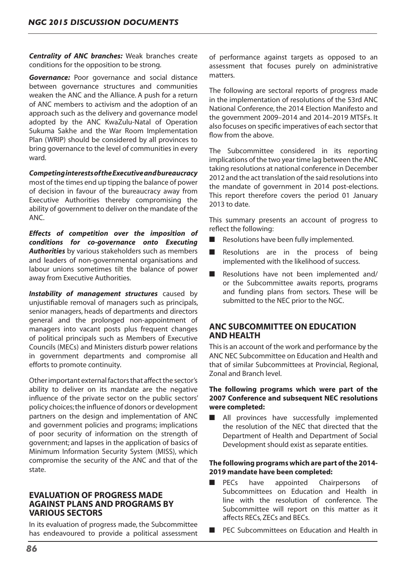*Centrality of ANC branches:* Weak branches create conditions for the opposition to be strong.

*Governance:* Poor governance and social distance between governance structures and communities weaken the ANC and the Alliance. A push for a return of ANC members to activism and the adoption of an approach such as the delivery and governance model adopted by the ANC KwaZulu-Natal of Operation Sukuma Sakhe and the War Room Implementation Plan (WRIP) should be considered by all provinces to bring governance to the level of communities in every ward.

*Competing interests of the Executive and bureaucracy* 

most of the times end up tipping the balance of power of decision in favour of the bureaucracy away from Executive Authorities thereby compromising the ability of government to deliver on the mandate of the ANC.

*Effects of competition over the imposition of conditions for co-governance onto Executing Authorities* by various stakeholders such as members and leaders of non-governmental organisations and labour unions sometimes tilt the balance of power away from Executive Authorities.

*Instability of management structures* caused by unjustifiable removal of managers such as principals, senior managers, heads of departments and directors general and the prolonged non-appointment of managers into vacant posts plus frequent changes of political principals such as Members of Executive Councils (MECs) and Ministers disturb power relations in government departments and compromise all efforts to promote continuity.

Other important external factors that affect the sector's ability to deliver on its mandate are the negative influence of the private sector on the public sectors' policy choices;the influence of donors or development partners on the design and implementation of ANC and government policies and programs; implications of poor security of information on the strength of government; and lapses in the application of basics of Minimum Information Security System (MISS), which compromise the security of the ANC and that of the state.

# **EVALUATION OF PROGRESS MADE AGAINST PLANS AND PROGRAMS BY VARIOUS SECTORS**

In its evaluation of progress made, the Subcommittee has endeavoured to provide a political assessment of performance against targets as opposed to an assessment that focuses purely on administrative matters.

The following are sectoral reports of progress made in the implementation of resolutions of the 53rd ANC National Conference, the 2014 Election Manifesto and the government 2009–2014 and 2014–2019 MTSFs. It also focuses on specific imperatives of each sector that flow from the above.

The Subcommittee considered in its reporting implications of the two year time lag between the ANC taking resolutions at national conference in December 2012 and the act translation of the said resolutions into the mandate of government in 2014 post-elections. This report therefore covers the period 01 January 2013 to date.

This summary presents an account of progress to reflect the following:

- Resolutions have been fully implemented.
- Resolutions are in the process of being implemented with the likelihood of success.
- Resolutions have not been implemented and/ or the Subcommittee awaits reports, programs and funding plans from sectors. These will be submitted to the NEC prior to the NGC.

# **ANC SUBCOMMITTEE ON EDUCATION AND HEALTH**

This is an account of the work and performance by the ANC NEC Subcommittee on Education and Health and that of similar Subcommittees at Provincial, Regional, Zonal and Branch level.

# **The following programs which were part of the 2007 Conference and subsequent NEC resolutions were completed:**

■ All provinces have successfully implemented the resolution of the NEC that directed that the Department of Health and Department of Social Development should exist as separate entities.

## **The following programs which are part of the 2014- 2019 mandate have been completed:**

- PECs have appointed Chairpersons of Subcommittees on Education and Health in line with the resolution of conference. The Subcommittee will report on this matter as it affects RECs, ZECs and BECs.
- PEC Subcommittees on Education and Health in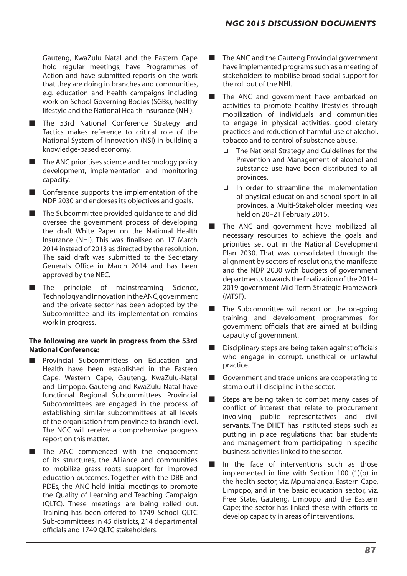Gauteng, KwaZulu Natal and the Eastern Cape hold regular meetings, have Programmes of Action and have submitted reports on the work that they are doing in branches and communities, e.g. education and health campaigns including work on School Governing Bodies (SGBs), healthy lifestyle and the National Health Insurance (NHI).

- The 53rd National Conference Strategy and Tactics makes reference to critical role of the National System of Innovation (NSI) in building a knowledge-based economy.
- $\blacksquare$  The ANC prioritises science and technology policy development, implementation and monitoring capacity.
- Conference supports the implementation of the NDP 2030 and endorses its objectives and goals.
- The Subcommittee provided quidance to and did oversee the government process of developing the draft White Paper on the National Health Insurance (NHI). This was finalised on 17 March 2014 instead of 2013 as directed by the resolution. The said draft was submitted to the Secretary General's Office in March 2014 and has been approved by the NEC.
- The principle of mainstreaming Science, TechnologyandInnovationintheANC,government and the private sector has been adopted by the Subcommittee and its implementation remains work in progress.

# **The following are work in progress from the 53rd National Conference:**

- Provincial Subcommittees on Education and Health have been established in the Eastern Cape, Western Cape, Gauteng, KwaZulu-Natal and Limpopo. Gauteng and KwaZulu Natal have functional Regional Subcommittees. Provincial Subcommittees are engaged in the process of establishing similar subcommittees at all levels of the organisation from province to branch level. The NGC will receive a comprehensive progress report on this matter.
- The ANC commenced with the engagement of its structures, the Alliance and communities to mobilize grass roots support for improved education outcomes. Together with the DBE and PDEs, the ANC held initial meetings to promote the Quality of Learning and Teaching Campaign (QLTC). These meetings are being rolled out. Training has been offered to 1749 School QLTC Sub-committees in 45 districts, 214 departmental officials and 1749 QLTC stakeholders.
- The ANC and the Gauteng Provincial government have implemented programs such as a meeting of stakeholders to mobilise broad social support for the roll out of the NHI.
- The ANC and government have embarked on activities to promote healthy lifestyles through mobilization of individuals and communities to engage in physical activities, good dietary practices and reduction of harmful use of alcohol, tobacco and to control of substance abuse.
	- $\Box$  The National Strategy and Guidelines for the Prevention and Management of alcohol and substance use have been distributed to all provinces.
	- $\Box$  In order to streamline the implementation of physical education and school sport in all provinces, a Multi-Stakeholder meeting was held on 20–21 February 2015.
- The ANC and government have mobilized all necessary resources to achieve the goals and priorities set out in the National Development Plan 2030. That was consolidated through the alignment by sectors of resolutions, the manifesto and the NDP 2030 with budgets of government departments towards the finalization of the 2014– 2019 government Mid-Term Strategic Framework (MTSF).
- The Subcommittee will report on the on-going training and development programmes for government officials that are aimed at building capacity of government.
- Disciplinary steps are being taken against officials who engage in corrupt, unethical or unlawful practice.
- Government and trade unions are cooperating to stamp out ill-discipline in the sector.
- Steps are being taken to combat many cases of conflict of interest that relate to procurement involving public representatives and civil servants. The DHET has instituted steps such as putting in place regulations that bar students and management from participating in specific business activities linked to the sector.
- In the face of interventions such as those implemented in line with Section 100 (1)(b) in the health sector, viz. Mpumalanga, Eastern Cape, Limpopo, and in the basic education sector, viz. Free State, Gauteng, Limpopo and the Eastern Cape; the sector has linked these with efforts to develop capacity in areas of interventions.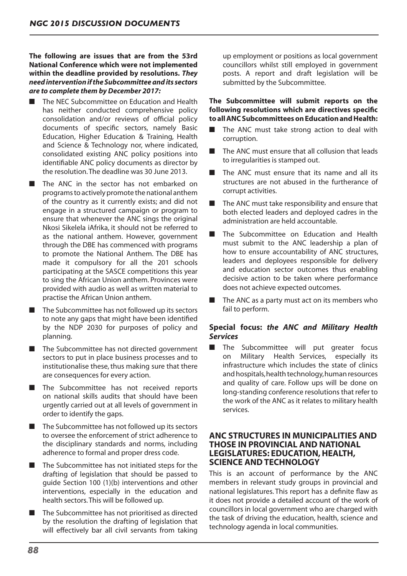**The following are issues that are from the 53rd National Conference which were not implemented within the deadline provided by resolutions.** *They need intervention if the Subcommittee and its sectors are to complete them by December 2017:*

- The NEC Subcommittee on Education and Health has neither conducted comprehensive policy consolidation and/or reviews of official policy documents of specific sectors, namely Basic Education, Higher Education & Training, Health and Science & Technology nor, where indicated, consolidated existing ANC policy positions into identifiable ANC policy documents as director by the resolution.The deadline was 30 June 2013.
- The ANC in the sector has not embarked on programs to actively promote the national anthem of the country as it currently exists; and did not engage in a structured campaign or program to ensure that whenever the ANC sings the original Nkosi Sikelela iAfrika, it should not be referred to as the national anthem. However, government through the DBE has commenced with programs to promote the National Anthem. The DBE has made it compulsory for all the 201 schools participating at the SASCE competitions this year to sing the African Union anthem. Provinces were provided with audio as well as written material to practise the African Union anthem.
- $\blacksquare$  The Subcommittee has not followed up its sectors to note any gaps that might have been identified by the NDP 2030 for purposes of policy and planning.
- The Subcommittee has not directed government sectors to put in place business processes and to institutionalise these, thus making sure that there are consequences for every action.
- The Subcommittee has not received reports on national skills audits that should have been urgently carried out at all levels of government in order to identify the gaps.
- The Subcommittee has not followed up its sectors to oversee the enforcement of strict adherence to the disciplinary standards and norms, including adherence to formal and proper dress code.
- The Subcommittee has not initiated steps for the drafting of legislation that should be passed to guide Section 100 (1)(b) interventions and other interventions, especially in the education and health sectors.This will be followed up.
- The Subcommittee has not prioritised as directed by the resolution the drafting of legislation that will effectively bar all civil servants from taking

up employment or positions as local government councillors whilst still employed in government posts. A report and draft legislation will be submitted by the Subcommittee.

# **The Subcommittee will submit reports on the following resolutions which are directives specific to all ANC Subcommittees on Education and Health:**

- The ANC must take strong action to deal with corruption.
- The ANC must ensure that all collusion that leads to irregularities is stamped out.
- The ANC must ensure that its name and all its structures are not abused in the furtherance of corrupt activities.
- The ANC must take responsibility and ensure that both elected leaders and deployed cadres in the administration are held accountable.
- The Subcommittee on Education and Health must submit to the ANC leadership a plan of how to ensure accountability of ANC structures, leaders and deployees responsible for delivery and education sector outcomes thus enabling decisive action to be taken where performance does not achieve expected outcomes.
- The ANC as a party must act on its members who fail to perform.

# **Special focus:** *the ANC and Military Health Services*

■ The Subcommittee will put greater focus on Military Health Services, especially its infrastructure which includes the state of clinics and hospitals, health technology, human resources and quality of care. Follow ups will be done on long-standing conference resolutions that refer to the work of the ANC as it relates to military health services.

# **ANC STRUCTURES IN MUNICIPALITIES AND THOSE IN PROVINCIAL AND NATIONAL LEGISLATURES: EDUCATION, HEALTH, SCIENCE AND TECHNOLOGY**

This is an account of performance by the ANC members in relevant study groups in provincial and national legislatures. This report has a definite flaw as it does not provide a detailed account of the work of councillors in local government who are charged with the task of driving the education, health, science and technology agenda in local communities.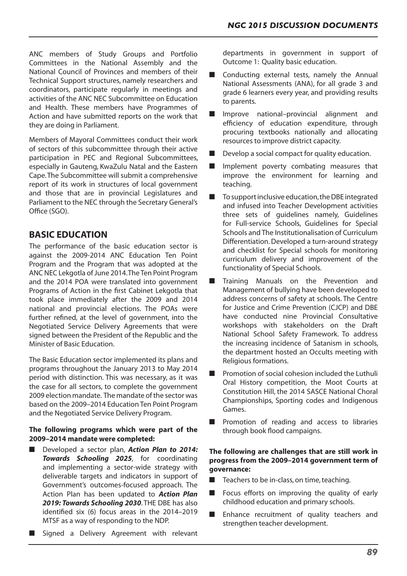ANC members of Study Groups and Portfolio Committees in the National Assembly and the National Council of Provinces and members of their Technical Support structures, namely researchers and coordinators, participate regularly in meetings and activities of the ANC NEC Subcommittee on Education and Health. These members have Programmes of Action and have submitted reports on the work that they are doing in Parliament.

Members of Mayoral Committees conduct their work of sectors of this subcommittee through their active participation in PEC and Regional Subcommittees, especially in Gauteng, KwaZulu Natal and the Eastern Cape.The Subcommittee will submit a comprehensive report of its work in structures of local government and those that are in provincial Legislatures and Parliament to the NEC through the Secretary General's Office (SGO).

# **BASIC EDUCATION**

The performance of the basic education sector is against the 2009-2014 ANC Education Ten Point Program and the Program that was adopted at the ANC NEC Lekgotla of June 2014. The Ten Point Program and the 2014 POA were translated into government Programs of Action in the first Cabinet Lekgotla that took place immediately after the 2009 and 2014 national and provincial elections. The POAs were further refined, at the level of government, into the Negotiated Service Delivery Agreements that were signed between the President of the Republic and the Minister of Basic Education.

The Basic Education sector implemented its plans and programs throughout the January 2013 to May 2014 period with distinction. This was necessary, as it was the case for all sectors, to complete the government 2009 election mandate. The mandate of the sector was based on the 2009–2014 Education Ten Point Program and the Negotiated Service Delivery Program.

# **The following programs which were part of the 2009–2014 mandate were completed:**

- Developed a sector plan, **Action Plan to 2014:** *Towards Schooling 2025*, for coordinating and implementing a sector-wide strategy with deliverable targets and indicators in support of Government's outcomes-focused approach. The Action Plan has been updated to *Action Plan 2019: Towards Schooling 2030*. THE DBE has also identified six (6) focus areas in the 2014–2019 MTSF as a way of responding to the NDP.
- Signed a Delivery Agreement with relevant

departments in government in support of Outcome 1: Quality basic education.

- Conducting external tests, namely the Annual National Assessments (ANA), for all grade 3 and grade 6 learners every year, and providing results to parents.
- Improve national–provincial alignment and efficiency of education expenditure, through procuring textbooks nationally and allocating resources to improve district capacity.
- Develop a social compact for quality education.
- Implement poverty combating measures that improve the environment for learning and teaching.
- To support inclusive education, the DBE integrated and infused into Teacher Development activities three sets of guidelines namely, Guidelines for Full-service Schools, Guidelines for Special Schools and The Institutionalisation of Curriculum Differentiation.Developed a turn-around strategy and checklist for Special schools for monitoring curriculum delivery and improvement of the functionality of Special Schools.
- Training Manuals on the Prevention and Management of bullying have been developed to address concerns of safety at schools. The Centre for Justice and Crime Prevention (CJCP) and DBE have conducted nine Provincial Consultative workshops with stakeholders on the Draft National School Safety Framework. To address the increasing incidence of Satanism in schools, the department hosted an Occults meeting with Religious formations.
- Promotion of social cohesion included the Luthuli Oral History competition, the Moot Courts at Constitution Hill, the 2014 SASCE National Choral Championships, Sporting codes and Indigenous Games.
- Promotion of reading and access to libraries through book flood campaigns.

# **The following are challenges that are still work in progress from the 2009–2014 government term of governance:**

- Teachers to be in-class, on time, teaching.
- Focus efforts on improving the quality of early childhood education and primary schools.
- Enhance recruitment of quality teachers and strengthen teacher development.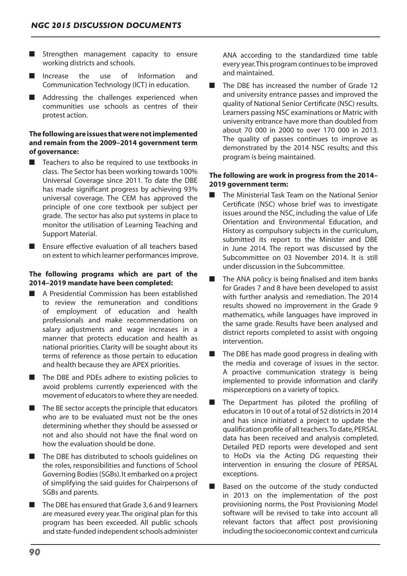- Strengthen management capacity to ensure working districts and schools.
- Increase the use of Information and Communication Technology (ICT) in education.
- Addressing the challenges experienced when communities use schools as centres of their protest action.

# **The following are issues that were not implemented and remain from the 2009–2014 government term of governance:**

- Teachers to also be required to use textbooks in class. The Sector has been working towards 100% Universal Coverage since 2011. To date the DBE has made significant progress by achieving 93% universal coverage. The CEM has approved the principle of one core textbook per subject per grade. The sector has also put systems in place to monitor the utilisation of Learning Teaching and Support Material.
- Ensure effective evaluation of all teachers based on extent to which learner performancesimprove.

## **The following programs which are part of the 2014–2019 mandate have been completed:**

- A Presidential Commission has been established to review the remuneration and conditions of employment of education and health professionals and make recommendations on salary adjustments and wage increases in a manner that protects education and health as national priorities. Clarity will be sought about its terms of reference as those pertain to education and health because they are APEX priorities.
- The DBE and PDEs adhere to existing policies to avoid problems currently experienced with the movement of educators to where they are needed.
- $\blacksquare$  The BE sector accepts the principle that educators who are to be evaluated must not be the ones determining whether they should be assessed or not and also should not have the final word on how the evaluation should be done.
- The DBE has distributed to schools guidelines on the roles, responsibilities and functions of School Governing Bodies(SGBs).It embarked on a project of simplifying the said guides for Chairpersons of SGBs and parents.
- The DBE has ensured that Grade 3,6 and 9 learners are measured every year.The original plan for this program has been exceeded. All public schools and state-funded independent schools administer

ANA according to the standardized time table every year. This program continues to be improved and maintained.

The DBE has increased the number of Grade 12 and university entrance passes and improved the quality of National Senior Certificate (NSC) results. Learners passing NSC examinations or Matric with university entrance have more than doubled from about 70 000 in 2000 to over 170 000 in 2013. The quality of passes continues to improve as demonstrated by the 2014 NSC results; and this program is being maintained.

## **The following are work in progress from the 2014– 2019 government term:**

- The Ministerial Task Team on the National Senior Certificate (NSC) whose brief was to investigate issues around the NSC, including the value of Life Orientation and Environmental Education, and History as compulsory subjects in the curriculum, submitted its report to the Minister and DBE in June 2014. The report was discussed by the Subcommittee on 03 November 2014. It is still under discussion in the Subcommittee.
- The ANA policy is being finalised and item banks for Grades 7 and 8 have been developed to assist with further analysis and remediation. The 2014 results showed no improvement in the Grade 9 mathematics, while languages have improved in the same grade. Results have been analysed and district reports completed to assist with ongoing intervention.
- The DBE has made good progress in dealing with the media and coverage of issues in the sector. A proactive communication strategy is being implemented to provide information and clarify misperceptions on a variety of topics.
- The Department has piloted the profiling of educators in 10 out of a total of 52 districts in 2014 and has since initiated a project to update the qualification profile of all teachers. To date, PERSAL data has been received and analysis completed. Detailed PED reports were developed and sent to HoDs via the Acting DG requesting their intervention in ensuring the closure of PERSAL exceptions.
- Based on the outcome of the study conducted in 2013 on the implementation of the post provisioning norms, the Post Provisioning Model software will be revised to take into account all relevant factors that affect post provisioning including the socioeconomic context and curricula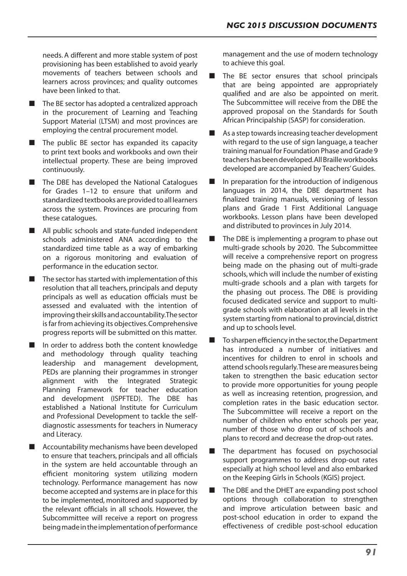needs. A different and more stable system of post provisioning has been established to avoid yearly movements of teachers between schools and learners across provinces; and quality outcomes have been linked to that.

- $\blacksquare$  The BE sector has adopted a centralized approach in the procurement of Learning and Teaching Support Material (LTSM) and most provinces are employing the central procurement model.
- The public BE sector has expanded its capacity to print text books and workbooks and own their intellectual property. These are being improved continuously.
- The DBE has developed the National Catalogues for Grades 1–12 to ensure that uniform and standardized textbooks are provided to all learners across the system. Provinces are procuring from these catalogues.
- All public schools and state-funded independent schools administered ANA according to the standardized time table as a way of embarking on a rigorous monitoring and evaluation of performance in the education sector.
- $\blacksquare$  The sector has started with implementation of this resolution that all teachers, principals and deputy principals as well as education officials must be assessed and evaluated with the intention of improving their skills and accountability. The sector is far from achieving its objectives. Comprehensive progress reports will be submitted on this matter.
- In order to address both the content knowledge and methodology through quality teaching leadership and management development, PEDs are planning their programmes in stronger alignment with the Integrated Strategic Planning Framework for teacher education and development (ISPFTED). The DBE has established a National Institute for Curriculum and Professional Development to tackle the selfdiagnostic assessments for teachers in Numeracy and Literacy.
- Accountability mechanisms have been developed to ensure that teachers, principals and all officials in the system are held accountable through an efficient monitoring system utilizing modern technology. Performance management has now become accepted and systems are in place for this to be implemented, monitored and supported by the relevant officials in all schools. However, the Subcommittee will receive a report on progress being made in the implementation of performance

management and the use of modern technology to achieve this goal.

- The BE sector ensures that school principals that are being appointed are appropriately qualified and are also be appointed on merit. The Subcommittee will receive from the DBE the approved proposal on the Standards for South African Principalship (SASP) for consideration.
- As a step towards increasing teacher development with regard to the use of sign language, a teacher training manual for Foundation Phase and Grade 9 teachershasbeendeveloped.AllBrailleworkbooks developed are accompanied by Teachers'Guides.
- In preparation for the introduction of indigenous languages in 2014, the DBE department has finalized training manuals, versioning of lesson plans and Grade 1 First Additional Language workbooks. Lesson plans have been developed and distributed to provinces in July 2014.
- The DBE is implementing a program to phase out multi-grade schools by 2020. The Subcommittee will receive a comprehensive report on progress being made on the phasing out of multi-grade schools,which will include the number of existing multi-grade schools and a plan with targets for the phasing out process. The DBE is providing focused dedicated service and support to multigrade schools with elaboration at all levels in the system starting from national to provincial,district and up to schools level.
- To sharpen efficiency in the sector, the Department has introduced a number of initiatives and incentives for children to enrol in schools and attend schools regularly. These are measures being taken to strengthen the basic education sector to provide more opportunities for young people as well as increasing retention, progression, and completion rates in the basic education sector. The Subcommittee will receive a report on the number of children who enter schools per year, number of those who drop out of schools and plans to record and decrease the drop-out rates.
- The department has focused on psychosocial support programmes to address drop-out rates especially at high school level and also embarked on the Keeping Girls in Schools (KGIS) project.
- The DBE and the DHET are expanding post school options through collaboration to strengthen and improve articulation between basic and post-school education in order to expand the effectiveness of credible post-school education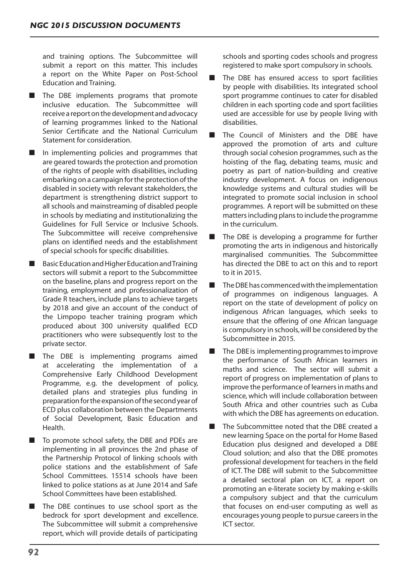and training options. The Subcommittee will submit a report on this matter. This includes a report on the White Paper on Post-School Education and Training.

- The DBE implements programs that promote inclusive education. The Subcommittee will receive a report on the development and advocacy of learning programmes linked to the National Senior Certificate and the National Curriculum Statement for consideration.
- In implementing policies and programmes that are geared towards the protection and promotion of the rights of people with disabilities, including embarking on a campaign for the protection of the disabled in society with relevant stakeholders, the department is strengthening district support to all schools and mainstreaming of disabled people in schools by mediating and institutionalizing the Guidelines for Full Service or Inclusive Schools. The Subcommittee will receive comprehensive plans on identified needs and the establishment of special schools for specific disabilities.
- Basic Education and Higher Education and Training sectors will submit a report to the Subcommittee on the baseline, plans and progress report on the training, employment and professionalization of Grade R teachers, include plans to achieve targets by 2018 and give an account of the conduct of the Limpopo teacher training program which produced about 300 university qualified ECD practitioners who were subsequently lost to the private sector.
- The DBE is implementing programs aimed at accelerating the implementation of a Comprehensive Early Childhood Development Programme, e.g. the development of policy, detailed plans and strategies plus funding in preparation for the expansion of the second year of ECD plus collaboration between the Departments of Social Development, Basic Education and Health.
- To promote school safety, the DBE and PDEs are implementing in all provinces the 2nd phase of the Partnership Protocol of linking schools with police stations and the establishment of Safe School Committees. 15514 schools have been linked to police stations as at June 2014 and Safe School Committees have been established.
- The DBE continues to use school sport as the bedrock for sport development and excellence. The Subcommittee will submit a comprehensive report, which will provide details of participating

schools and sporting codes schools and progress registered to make sport compulsory in schools.

- The DBE has ensured access to sport facilities by people with disabilities. Its integrated school sport programme continues to cater for disabled children in each sporting code and sport facilities used are accessible for use by people living with disabilities.
- The Council of Ministers and the DBE have approved the promotion of arts and culture through social cohesion programmes, such as the hoisting of the flag, debating teams, music and poetry as part of nation-building and creative industry development. A focus on indigenous knowledge systems and cultural studies will be integrated to promote social inclusion in school programmes. A report will be submitted on these matters including plans to include the programme in the curriculum.
- The DBE is developing a programme for further promoting the arts in indigenous and historically marginalised communities. The Subcommittee has directed the DBE to act on this and to report to it in 2015.
- The DBE has commenced with the implementation of programmes on indigenous languages. A report on the state of development of policy on indigenous African languages, which seeks to ensure that the offering of one African language is compulsory in schools,will be considered by the Subcommittee in 2015.
- The DBE is implementing programmes to improve the performance of South African learners in maths and science. The sector will submit a report of progress on implementation of plans to improve the performance of learners in maths and science, which will include collaboration between South Africa and other countries such as Cuba with which the DBE has agreements on education.
- The Subcommittee noted that the DBE created a new learning Space on the portal for Home Based Education plus designed and developed a DBE Cloud solution; and also that the DBE promotes professional development for teachers in the field of ICT. The DBE will submit to the Subcommittee a detailed sectoral plan on ICT, a report on promoting an e-literate society by making e-skills a compulsory subject and that the curriculum that focuses on end-user computing as well as encourages young people to pursue careersin the ICT sector.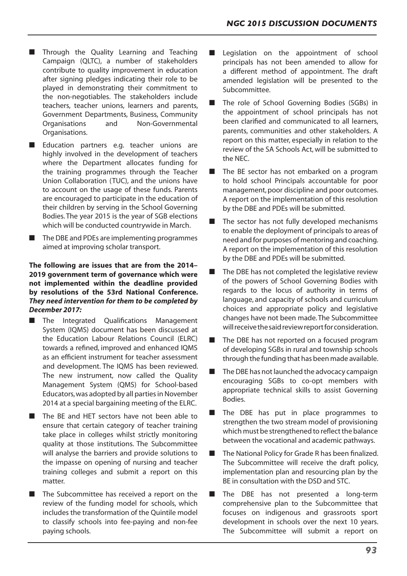- Through the Quality Learning and Teaching Campaign (QLTC), a number of stakeholders contribute to quality improvement in education after signing pledges indicating their role to be played in demonstrating their commitment to the non-negotiables. The stakeholders include teachers, teacher unions, learners and parents, Government Departments, Business, Community Organisations and Non-Governmental Organisations.
- Education partners e.g. teacher unions are highly involved in the development of teachers where the Department allocates funding for the training programmes through the Teacher Union Collaboration (TUC), and the unions have to account on the usage of these funds. Parents are encouraged to participate in the education of their children by serving in the School Governing Bodies. The year 2015 is the year of SGB elections which will be conducted countrywide in March.
- The DBE and PDEs are implementing programmes aimed at improving scholar transport.

# **The following are issues that are from the 2014– 2019 government term of governance which were not implemented within the deadline provided by resolutions of the 53rd National Conference.**  *They need intervention for them to be completed by December 2017:*

- The Integrated Oualifications Management System (IQMS) document has been discussed at the Education Labour Relations Council (ELRC) towards a refined, improved and enhanced IQMS as an efficient instrument for teacher assessment and development. The IQMS has been reviewed. The new instrument, now called the Quality Management System (QMS) for School-based Educators, was adopted by all parties in November 2014 at a special bargaining meeting of the ELRC.
- The BE and HET sectors have not been able to ensure that certain category of teacher training take place in colleges whilst strictly monitoring quality at those institutions. The Subcommittee will analyse the barriers and provide solutions to the impasse on opening of nursing and teacher training colleges and submit a report on this matter.
- The Subcommittee has received a report on the review of the funding model for schools, which includes the transformation of the Quintile model to classify schools into fee-paying and non-fee paying schools.
- Legislation on the appointment of school principals has not been amended to allow for a different method of appointment. The draft amended legislation will be presented to the Subcommittee.
- The role of School Governing Bodies (SGBs) in the appointment of school principals has not been clarified and communicated to all learners, parents, communities and other stakeholders. A report on this matter, especially in relation to the review of the SA Schools Act, will be submitted to the NEC.
- The BE sector has not embarked on a program to hold school Principals accountable for poor management, poor discipline and poor outcomes. A report on the implementation of this resolution by the DBE and PDEs will be submitted.
- The sector has not fully developed mechanisms to enable the deployment of principals to areas of need and for purposes of mentoring and coaching. A report on the implementation of this resolution by the DBE and PDEs will be submitted.
- The DBE has not completed the legislative review of the powers of School Governing Bodies with regards to the locus of authority in terms of language, and capacity of schools and curriculum choices and appropriate policy and legislative changes have not been made.The Subcommittee will receive the said review report for consideration.
- The DBE has not reported on a focused program of developing SGBs in rural and township schools through the funding that has been made available.
- $\blacksquare$  The DBE has not launched the advocacy campaign encouraging SGBs to co-opt members with appropriate technical skills to assist Governing Bodies.
- The DBE has put in place programmes to strengthen the two stream model of provisioning which must be strengthened to reflect the balance between the vocational and academic pathways.
- The National Policy for Grade R has been finalized. The Subcommittee will receive the draft policy, implementation plan and resourcing plan by the BE in consultation with the DSD and STC.
- The DBE has not presented a long-term comprehensive plan to the Subcommittee that focuses on indigenous and grassroots sport development in schools over the next 10 years. The Subcommittee will submit a report on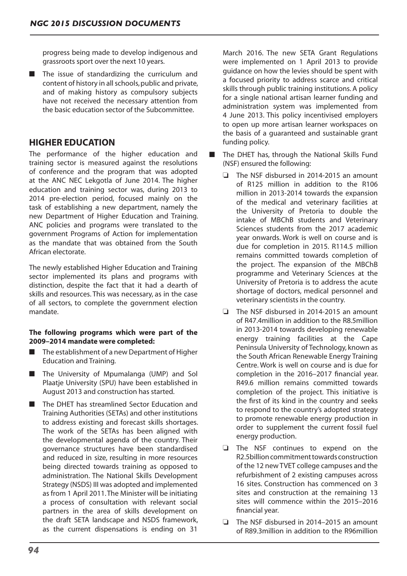progress being made to develop indigenous and grassroots sport over the next 10 years.

■ The issue of standardizing the curriculum and content of history in all schools, public and private, and of making history as compulsory subjects have not received the necessary attention from the basic education sector of the Subcommittee.

# **HIGHER EDUCATION**

The performance of the higher education and training sector is measured against the resolutions of conference and the program that was adopted at the ANC NEC Lekgotla of June 2014. The higher education and training sector was, during 2013 to 2014 pre-election period, focused mainly on the task of establishing a new department, namely the new Department of Higher Education and Training. ANC policies and programs were translated to the government Programs of Action for implementation as the mandate that was obtained from the South African electorate.

The newly established Higher Education and Training sector implemented its plans and programs with distinction, despite the fact that it had a dearth of skills and resources. This was necessary, as in the case of all sectors, to complete the government election mandate.

# **The following programs which were part of the 2009–2014 mandate were completed:**

- The establishment of a new Department of Higher Education and Training.
- The University of Mpumalanga (UMP) and Sol Plaatje University (SPU) have been established in August 2013 and construction has started.
- The DHET has streamlined Sector Education and Training Authorities (SETAs) and other institutions to address existing and forecast skills shortages. The work of the SETAs has been aligned with the developmental agenda of the country. Their governance structures have been standardised and reduced in size, resulting in more resources being directed towards training as opposed to administration. The National Skills Development Strategy (NSDS) III was adopted and implemented as from 1 April 2011.The Minister will be initiating a process of consultation with relevant social partners in the area of skills development on the draft SETA landscape and NSDS framework, as the current dispensations is ending on 31

March 2016. The new SETA Grant Regulations were implemented on 1 April 2013 to provide guidance on how the levies should be spent with a focused priority to address scarce and critical skills through public training institutions. A policy for a single national artisan learner funding and administration system was implemented from 4 June 2013. This policy incentivised employers to open up more artisan learner workspaces on the basis of a guaranteed and sustainable grant funding policy.

- The DHET has, through the National Skills Fund (NSF) ensured the following:
	- $\Box$  The NSF disbursed in 2014-2015 an amount of R125 million in addition to the R106 million in 2013-2014 towards the expansion of the medical and veterinary facilities at the University of Pretoria to double the intake of MBChB students and Veterinary Sciences students from the 2017 academic year onwards. Work is well on course and is due for completion in 2015. R114.5 million remains committed towards completion of the project. The expansion of the MBChB programme and Veterinary Sciences at the University of Pretoria is to address the acute shortage of doctors, medical personnel and veterinary scientists in the country.
	- $\Box$  The NSF disbursed in 2014-2015 an amount of R47.4million in addition to the R8.5million in 2013-2014 towards developing renewable energy training facilities at the Cape Peninsula University of Technology, known as the South African Renewable Energy Training Centre. Work is well on course and is due for completion in the 2016–2017 financial year. R49.6 million remains committed towards completion of the project. This initiative is the first of its kind in the country and seeks to respond to the country's adopted strategy to promote renewable energy production in order to supplement the current fossil fuel energy production.
	- $\Box$  The NSF continues to expend on the R2.5billioncommitmenttowards construction of the 12 new TVET college campuses and the refurbishment of 2 existing campuses across 16 sites. Construction has commenced on 3 sites and construction at the remaining 13 sites will commence within the 2015–2016 financial year.
	- $\Box$  The NSF disbursed in 2014–2015 an amount of R89.3million in addition to the R96million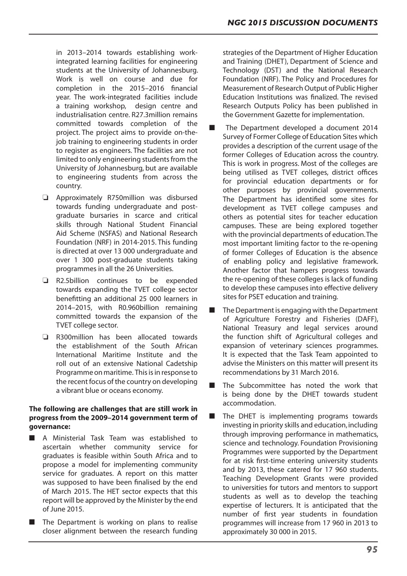in 2013–2014 towards establishing workintegrated learning facilities for engineering students at the University of Johannesburg. Work is well on course and due for completion in the 2015–2016 financial year. The work-integrated facilities include a training workshop, design centre and industrialisation centre. R27.3million remains committed towards completion of the project. The project aims to provide on-thejob training to engineering students in order to register as engineers. The facilities are not limited to only engineering students from the University of Johannesburg, but are available to engineering students from across the country.

- $\Box$  Approximately R750million was disbursed towards funding undergraduate and postgraduate bursaries in scarce and critical skills through National Student Financial Aid Scheme (NSFAS) and National Research Foundation (NRF) in 2014-2015. This funding is directed at over 13 000 undergraduate and over 1 300 post-graduate students taking programmes in all the 26 Universities.
- $\Box$  R2.5billion continues to be expended towards expanding the TVET college sector benefitting an additional 25 000 learners in 2014–2015, with R0.960billion remaining committed towards the expansion of the TVET college sector.
- $\Box$  R300million has been allocated towards the establishment of the South African International Maritime Institute and the roll out of an extensive National Cadetship Programme on maritime. This is in response to the recent focus of the country on developing a vibrant blue or oceans economy.

# **The following are challenges that are still work in progress from the 2009–2014 government term of governance:**

- A Ministerial Task Team was established to ascertain whether community service for graduates is feasible within South Africa and to propose a model for implementing community service for graduates. A report on this matter was supposed to have been finalised by the end of March 2015. The HET sector expects that this report will be approved by the Minister by the end of June 2015.
- The Department is working on plans to realise closer alignment between the research funding

strategies of the Department of Higher Education and Training (DHET), Department of Science and Technology (DST) and the National Research Foundation (NRF). The Policy and Procedures for Measurement of Research Output of Public Higher Education Institutions was finalized. The revised Research Outputs Policy has been published in the Government Gazette for implementation.

- The Department developed a document 2014 Survey of Former College of Education Sites which provides a description of the current usage of the former Colleges of Education across the country. This is work in progress. Most of the colleges are being utilised as TVET colleges, district offices for provincial education departments or for other purposes by provincial governments. The Department has identified some sites for development as TVET college campuses and others as potential sites for teacher education campuses. These are being explored together with the provincial departments of education.The most important limiting factor to the re-opening of former Colleges of Education is the absence of enabling policy and legislative framework. Another factor that hampers progress towards the re-opening of these colleges is lack of funding to develop these campuses into effective delivery sites for PSET education and training.
- The Department is engaging with the Department of Agriculture Forestry and Fisheries (DAFF), National Treasury and legal services around the function shift of Agricultural colleges and expansion of veterinary sciences programmes. It is expected that the Task Team appointed to advise the Ministers on this matter will present its recommendations by 31 March 2016.
- The Subcommittee has noted the work that is being done by the DHET towards student accommodation.
- The DHET is implementing programs towards investing in priority skills and education, including through improving performance in mathematics, science and technology. Foundation Provisioning Programmes were supported by the Department for at risk first-time entering university students and by 2013, these catered for 17 960 students. Teaching Development Grants were provided to universities for tutors and mentors to support students as well as to develop the teaching expertise of lecturers. It is anticipated that the number of first year students in foundation programmes will increase from 17 960 in 2013 to approximately 30 000 in 2015.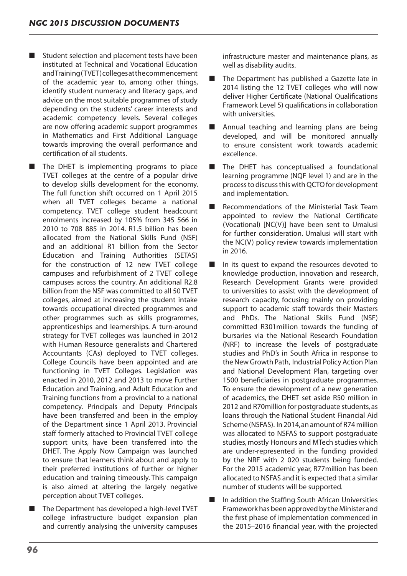Student selection and placement tests have been instituted at Technical and Vocational Education andTraining(TVET)collegesatthecommencement of the academic year to, among other things, identify student numeracy and literacy gaps, and advice on the most suitable programmes of study depending on the students' career interests and academic competency levels. Several colleges are now offering academic support programmes in Mathematics and First Additional Language towards improving the overall performance and certification of all students.

The DHET is implementing programs to place TVET colleges at the centre of a popular drive to develop skills development for the economy. The full function shift occurred on 1 April 2015 when all TVET colleges became a national competency. TVET college student headcount enrolments increased by 105% from 345 566 in 2010 to 708 885 in 2014. R1.5 billion has been allocated from the National Skills Fund (NSF) and an additional R1 billion from the Sector Education and Training Authorities (SETAS) for the construction of 12 new TVET college campuses and refurbishment of 2 TVET college campuses across the country. An additional R2.8 billion from the NSF was committed to all 50 TVET colleges, aimed at increasing the student intake towards occupational directed programmes and other programmes such as skills programmes, apprenticeships and learnerships. A turn-around strategy for TVET colleges was launched in 2012 with Human Resource generalists and Chartered Accountants (CAs) deployed to TVET colleges. College Councils have been appointed and are functioning in TVET Colleges. Legislation was enacted in 2010, 2012 and 2013 to move Further Education and Training, and Adult Education and Training functions from a provincial to a national competency. Principals and Deputy Principals have been transferred and been in the employ of the Department since 1 April 2013. Provincial staff formerly attached to Provincial TVET college support units, have been transferred into the DHET. The Apply Now Campaign was launched to ensure that learners think about and apply to their preferred institutions of further or higher education and training timeously. This campaign is also aimed at altering the largely negative perception about TVET colleges.

The Department has developed a high-level TVET college infrastructure budget expansion plan and currently analysing the university campuses infrastructure master and maintenance plans, as well as disability audits.

- The Department has published a Gazette late in 2014 listing the 12 TVET colleges who will now deliver Higher Certificate (National Qualifications Framework Level 5) qualifications in collaboration with universities.
- Annual teaching and learning plans are being developed, and will be monitored annually to ensure consistent work towards academic excellence.
- The DHET has conceptualised a foundational learning programme (NQF level 1) and are in the processto discussthiswithQCTOfor development and implementation.
- Recommendations of the Ministerial Task Team appointed to review the National Certificate (Vocational) [NC(V)] have been sent to Umalusi for further consideration. Umalusi will start with the NC(V) policy review towards implementation in 2016.
- In its quest to expand the resources devoted to knowledge production, innovation and research, Research Development Grants were provided to universities to assist with the development of research capacity, focusing mainly on providing support to academic staff towards their Masters and PhDs. The National Skills Fund (NSF) committed R301million towards the funding of bursaries via the National Research Foundation (NRF) to increase the levels of postgraduate studies and PhD's in South Africa in response to the New Growth Path, Industrial Policy Action Plan and National Development Plan, targeting over 1500 beneficiaries in postgraduate programmes. To ensure the development of a new generation of academics, the DHET set aside R50 million in 2012 and R70million for postgraduate students,as loans through the National Student Financial Aid Scheme (NSFAS). In 2014,an amount of R74 million was allocated to NSFAS to support postgraduate studies, mostly Honours and MTech studies which are under-represented in the funding provided by the NRF with 2 020 students being funded. For the 2015 academic year, R77million has been allocated to NSFAS and it is expected that a similar number of students will be supported.
- In addition the Staffing South African Universities Framework has been approved by the Minister and the first phase of implementation commenced in the 2015–2016 financial year, with the projected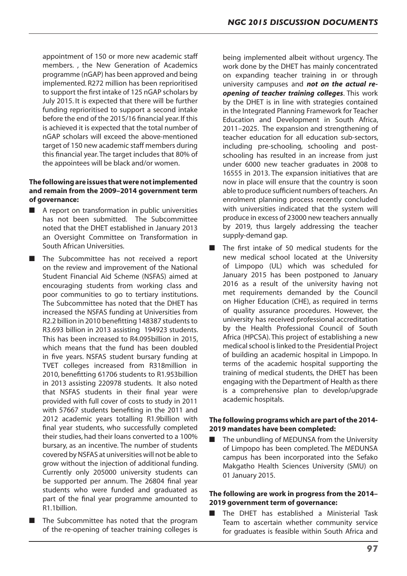appointment of 150 or more new academic staff members. , the New Generation of Academics programme (nGAP) has been approved and being implemented. R272 million has been reprioritised to support the first intake of 125 nGAP scholars by July 2015. It is expected that there will be further funding reprioritised to support a second intake before the end of the 2015/16 financial year. If this is achieved it is expected that the total number of nGAP scholars will exceed the above-mentioned target of 150 new academic staff members during this financial year.The target includes that 80% of the appointees will be black and/or women.

# **The following are issues that were not implemented and remain from the 2009–2014 government term of governance:**

- A report on transformation in public universities has not been submitted. The Subcommittee noted that the DHET established in January 2013 an Oversight Committee on Transformation in South African Universities.
- The Subcommittee has not received a report on the review and improvement of the National Student Financial Aid Scheme (NSFAS) aimed at encouraging students from working class and poor communities to go to tertiary institutions. The Subcommittee has noted that the DHET has increased the NSFAS funding at Universities from R2.2 billion in 2010 benefitting 148387 students to R3.693 billion in 2013 assisting 194923 students. This has been increased to R4.095billion in 2015, which means that the fund has been doubled in five years. NSFAS student bursary funding at TVET colleges increased from R318million in 2010, benefitting 61706 students to R1.953billion in 2013 assisting 220978 students. It also noted that NSFAS students in their final year were provided with full cover of costs to study in 2011 with 57667 students benefiting in the 2011 and 2012 academic years totalling R1.9billion with final year students, who successfully completed their studies, had their loans converted to a 100% bursary, as an incentive. The number of students covered byNSFAS at universities will not be able to grow without the injection of additional funding. Currently only 205000 university students can be supported per annum. The 26804 final year students who were funded and graduated as part of the final year programme amounted to R1.1billion.
- The Subcommittee has noted that the program of the re-opening of teacher training colleges is

being implemented albeit without urgency. The work done by the DHET has mainly concentrated on expanding teacher training in or through university campuses and *not on the actual reopening of teacher training colleges*. This work by the DHET is in line with strategies contained in the Integrated Planning Framework for Teacher Education and Development in South Africa, 2011–2025. The expansion and strengthening of teacher education for all education sub-sectors, including pre-schooling, schooling and postschooling has resulted in an increase from just under 6000 new teacher graduates in 2008 to 16555 in 2013. The expansion initiatives that are now in place will ensure that the country is soon able to produce sufficient numbers of teachers. An enrolment planning process recently concluded with universities indicated that the system will produce in excess of 23000 new teachers annually by 2019, thus largely addressing the teacher supply-demand gap.

■ The first intake of 50 medical students for the new medical school located at the University of Limpopo (UL) which was scheduled for January 2015 has been postponed to January 2016 as a result of the university having not met requirements demanded by the Council on Higher Education (CHE), as required in terms of quality assurance procedures. However, the university has received professional accreditation by the Health Professional Council of South Africa (HPCSA). This project of establishing a new medical school is linked to the Presidential Project of building an academic hospital in Limpopo. In terms of the academic hospital supporting the training of medical students, the DHET has been engaging with the Department of Health as there is a comprehensive plan to develop/upgrade academic hospitals.

## **The following programs which are part of the 2014- 2019 mandates have been completed:**

The unbundling of MEDUNSA from the University of Limpopo has been completed. The MEDUNSA campus has been incorporated into the Sefako Makgatho Health Sciences University (SMU) on 01 January 2015.

## **The following are work in progress from the 2014– 2019 government term of governance:**

The DHET has established a Ministerial Task Team to ascertain whether community service for graduates is feasible within South Africa and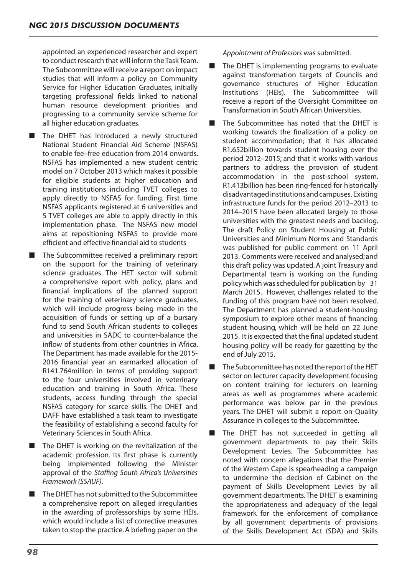appointed an experienced researcher and expert to conduct research that will inform the Task Team. The Subcommittee will receive a report on impact studies that will inform a policy on Community Service for Higher Education Graduates, initially targeting professional fields linked to national human resource development priorities and progressing to a community service scheme for all higher education graduates.

- The DHET has introduced a newly structured National Student Financial Aid Scheme (NSFAS) to enable fee–free education from 2014 onwards. NSFAS has implemented a new student centric model on 7 October 2013 which makes it possible for eligible students at higher education and training institutions including TVET colleges to apply directly to NSFAS for funding. First time NSFAS applicants registered at 6 universities and 5 TVET colleges are able to apply directly in this implementation phase. The NSFAS new model aims at repositioning NSFAS to provide more efficient and effective financial aid to students
- The Subcommittee received a preliminary report on the support for the training of veterinary science graduates. The HET sector will submit a comprehensive report with policy, plans and financial implications of the planned support for the training of veterinary science graduates, which will include progress being made in the acquisition of funds or setting up of a bursary fund to send South African students to colleges and universities in SADC to counter-balance the inflow of students from other countries in Africa. The Department has made available for the 2015- 2016 financial year an earmarked allocation of R141.764million in terms of providing support to the four universities involved in veterinary education and training in South Africa. These students, access funding through the special NSFAS category for scarce skills. The DHET and DAFF have established a task team to investigate the feasibility of establishing a second faculty for Veterinary Sciences in South Africa.
- The DHET is working on the revitalization of the academic profession. Its first phase is currently being implemented following the Minister approval of the *Staffing South Africa's Universities Framework (SSAUF)*.
- The DHET has not submitted to the Subcommittee a comprehensive report on alleged irregularities in the awarding of professorships by some HEIs, which would include a list of corrective measures taken to stop the practice.A briefing paper on the

*Appointment of Professors* was submitted.

- The DHET is implementing programs to evaluate against transformation targets of Councils and governance structures of Higher Education Institutions (HEIs). The Subcommittee will receive a report of the Oversight Committee on Transformation in South African Universities.
- The Subcommittee has noted that the DHET is working towards the finalization of a policy on student accommodation; that it has allocated R1.652billion towards student housing over the period 2012–2015; and that it works with various partners to address the provision of student accommodation in the post-school system. R1.413billion has been ring-fenced for historically disadvantagedinstitutionsandcampuses. Existing infrastructure funds for the period 2012–2013 to 2014–2015 have been allocated largely to those universities with the greatest needs and backlog. The draft Policy on Student Housing at Public Universities and Minimum Norms and Standards was published for public comment on 11 April 2013. Comments were received and analysed;and this draft policy was updated.A joint Treasury and Departmental team is working on the funding policy which was scheduled for publication by 31 March 2015. However, challenges related to the funding of this program have not been resolved. The Department has planned a student-housing symposium to explore other means of financing student housing, which will be held on 22 June 2015. It is expected that the final updated student housing policy will be ready for gazetting by the end of July 2015.
- The Subcommittee has noted the report of the HET sector on lecturer capacity development focusing on content training for lecturers on learning areas as well as programmes where academic performance was below par in the previous years. The DHET will submit a report on Quality Assurance in colleges to the Subcommittee.
- The DHET has not succeeded in getting all government departments to pay their Skills Development Levies. The Subcommittee has noted with concern allegations that the Premier of the Western Cape is spearheading a campaign to undermine the decision of Cabinet on the payment of Skills Development Levies by all government departments.The DHET is examining the appropriateness and adequacy of the legal framework for the enforcement of compliance by all government departments of provisions of the Skills Development Act (SDA) and Skills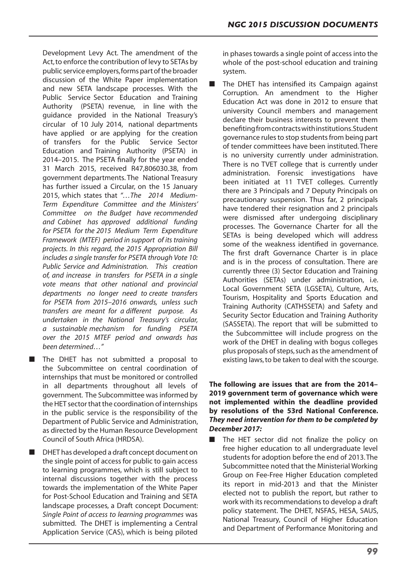Development Levy Act. The amendment of the Act, to enforce the contribution of levy to SETAs by public service employers, forms part of the broader discussion of the White Paper implementation and new SETA landscape processes. With the Public Service Sector Education and Training Authority (PSETA) revenue, in line with the guidance provided in the National Treasury's circular of 10 July 2014, national departments have applied or are applying for the creation of transfers for the Public Service Sector Education and Training Authority (PSETA) in 2014–2015. The PSETA finally for the year ended 31 March 2015, received R47,806030.38, from government departments. The National Treasury has further issued a Circular, on the 15 January 2015, which states that *"…The 2014 Medium-Term Expenditure Committee and the Ministers' Committee on the Budget have recommended and Cabinet has approved additional funding for PSETA for the 2015 Medium Term Expenditure Framework (MTEF) period in support of its training projects. In this regard, the 2015 Appropriation Bill includes a single transfer for PSETA through Vote 10: Public Service and Administration. This creation of, and increase in transfers for PSETA in a single vote means that other national and provincial departments no longer need to create transfers for PSETA from 2015–2016 onwards, unless such transfers are meant for a different purpose. As undertaken in the National Treasury's circular, a sustainable mechanism for funding PSETA over the 2015 MTEF period and onwards has been determined…"*

■ The DHET has not submitted a proposal to the Subcommittee on central coordination of internships that must be monitored or controlled in all departments throughout all levels of government. The Subcommittee wasinformed by the HET sector that the coordination of internships in the public service is the responsibility of the Department of Public Service and Administration, as directed by the Human Resource Development Council of South Africa (HRDSA).

■ DHET has developed a draft concept document on the single point of access for public to gain access to learning programmes, which is still subject to internal discussions together with the process towards the implementation of the White Paper for Post-School Education and Training and SETA landscape processes, a Draft concept Document: *Single Point of access to learning programmes* was submitted. The DHET is implementing a Central Application Service (CAS), which is being piloted in phases towards a single point of access into the whole of the post-school education and training system.

The DHET has intensified its Campaign against Corruption. An amendment to the Higher Education Act was done in 2012 to ensure that university Council members and management declare their business interests to prevent them benefitingfromcontractswithinstitutions.Student governance rules to stop students from being part of tender committees have been instituted. There is no university currently under administration. There is no TVET college that is currently under administration. Forensic investigations have been initiated at 11 TVET colleges. Currently there are 3 Principals and 7 Deputy Principals on precautionary suspension. Thus far, 2 principals have tendered their resignation and 2 principals were dismissed after undergoing disciplinary processes. The Governance Charter for all the SETAs is being developed which will address some of the weakness identified in governance. The first draft Governance Charter is in place and is in the process of consultation. There are currently three (3) Sector Education and Training Authorities (SETAs) under administration, i.e. Local Government SETA (LGSETA), Culture, Arts, Tourism, Hospitality and Sports Education and Training Authority (CATHSSETA) and Safety and Security Sector Education and Training Authority (SASSETA). The report that will be submitted to the Subcommittee will include progress on the work of the DHET in dealing with bogus colleges plus proposals of steps, such as the amendment of existing laws,to be taken to deal with the scourge.

# **The following are issues that are from the 2014– 2019 government term of governance which were not implemented within the deadline provided by resolutions of the 53rd National Conference.**  *They need intervention for them to be completed by December 2017:*

The HET sector did not finalize the policy on free higher education to all undergraduate level students for adoption before the end of 2013.The Subcommittee noted that the Ministerial Working Group on Fee-Free Higher Education completed its report in mid-2013 and that the Minister elected not to publish the report, but rather to work with its recommendations to develop a draft policy statement. The DHET, NSFAS, HESA, SAUS, National Treasury, Council of Higher Education and Department of Performance Monitoring and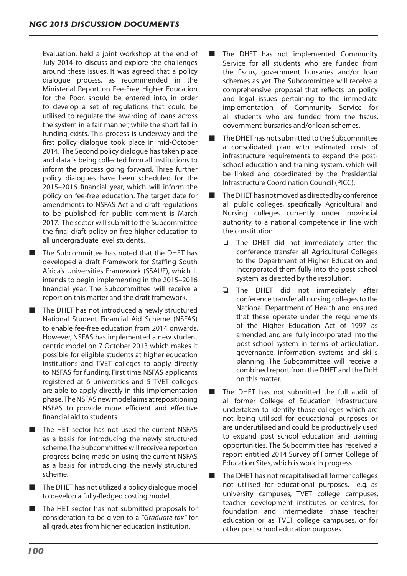Evaluation, held a joint workshop at the end of July 2014 to discuss and explore the challenges around these issues. It was agreed that a policy dialogue process, as recommended in the Ministerial Report on Fee-Free Higher Education for the Poor, should be entered into, in order to develop a set of regulations that could be utilised to regulate the awarding of loans across the system in a fair manner, while the short fall in funding exists. This process is underway and the first policy dialogue took place in mid-October 2014. The Second policy dialogue has taken place and data is being collected from all institutions to inform the process going forward. Three further policy dialogues have been scheduled for the 2015–2016 financial year, which will inform the policy on fee-free education. The target date for amendments to NSFAS Act and draft regulations to be published for public comment is March 2017. The sector will submit to the Subcommittee the final draft policy on free higher education to all undergraduate level students.

- The Subcommittee has noted that the DHET has developed a draft Framework for Staffing South Africa's Universities Framework (SSAUF), which it intends to begin implementing in the 2015–2016 financial year. The Subcommittee will receive a report on this matter and the draft framework.
- The DHET has not introduced a newly structured National Student Financial Aid Scheme (NSFAS) to enable fee-free education from 2014 onwards. However, NSFAS has implemented a new student centric model on 7 October 2013 which makes it possible for eligible students at higher education institutions and TVET colleges to apply directly to NSFAS for funding. First time NSFAS applicants registered at 6 universities and 5 TVET colleges are able to apply directly in this implementation phase. The NSFAS new model aims at repositioning NSFAS to provide more efficient and effective financial aid to students.
- The HET sector has not used the current NSFAS as a basis for introducing the newly structured scheme.The Subcommittee will receive a report on progress being made on using the current NSFAS as a basis for introducing the newly structured scheme.
- The DHET has not utilized a policy dialogue model to develop a fully-fledged costing model.
- The HET sector has not submitted proposals for consideration to be given to a *"Graduate tax"* for all graduates from higher education institution.
- The DHET has not implemented Community Service for all students who are funded from the fiscus, government bursaries and/or loan schemes as yet. The Subcommittee will receive a comprehensive proposal that reflects on policy and legal issues pertaining to the immediate implementation of Community Service for all students who are funded from the fiscus, government bursaries and/or loan schemes.
- The DHET has not submitted to the Subcommittee a consolidated plan with estimated costs of infrastructure requirements to expand the postschool education and training system, which will be linked and coordinated by the Presidential Infrastructure Coordination Council (PICC).
- The DHET has not moved as directed by conference all public colleges, specifically Agricultural and Nursing colleges currently under provincial authority, to a national competence in line with the constitution.
	- $\Box$  The DHET did not immediately after the conference transfer all Agricultural Colleges to the Department of Higher Education and incorporated them fully into the post school system, as directed by the resolution.
	- $\Box$  The DHET did not immediately after conference transfer all nursing collegesto the National Department of Health and ensured that these operate under the requirements of the Higher Education Act of 1997 as amended, and are fully incorporated into the post-school system in terms of articulation, governance, information systems and skills planning. The Subcommittee will receive a combined report from the DHET and the DoH on this matter.
- The DHET has not submitted the full audit of all former College of Education infrastructure undertaken to identify those colleges which are not being utilised for educational purposes or are underutilised and could be productively used to expand post school education and training opportunities. The Subcommittee has received a report entitled 2014 Survey of Former College of Education Sites,which is work in progress.
- The DHET has not recapitalised all former colleges not utilised for educational purposes, e.g. as university campuses, TVET college campuses, teacher development institutes or centres, for foundation and intermediate phase teacher education or as TVET college campuses, or for other post school education purposes.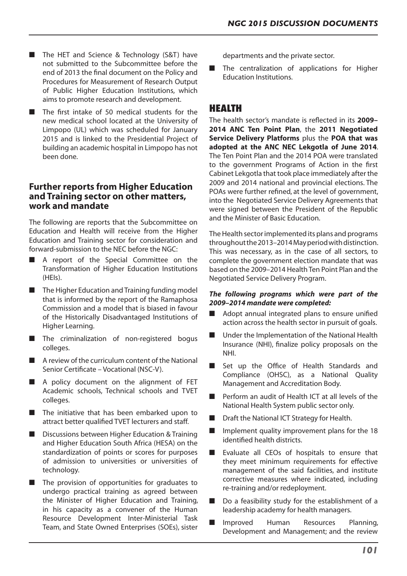- The HET and Science & Technology (S&T) have not submitted to the Subcommittee before the end of 2013 the final document on the Policy and Procedures for Measurement of Research Output of Public Higher Education Institutions, which aims to promote research and development.
- The first intake of 50 medical students for the new medical school located at the University of Limpopo (UL) which was scheduled for January 2015 and is linked to the Presidential Project of building an academic hospital in Limpopo has not been done.

# **Further reports from Higher Education and Training sector on other matters, work and mandate**

The following are reports that the Subcommittee on Education and Health will receive from the Higher Education and Training sector for consideration and forward-submission to the NEC before the NGC:

- A report of the Special Committee on the Transformation of Higher Education Institutions (HEIs).
- The Higher Education and Training funding model that is informed by the report of the Ramaphosa Commission and a model that is biased in favour of the Historically Disadvantaged Institutions of Higher Learning.
- The criminalization of non-registered bogus colleges.
- A review of the curriculum content of the National Senior Certificate – Vocational (NSC-V).
- A policy document on the alignment of FET Academic schools, Technical schools and TVET colleges.
- The initiative that has been embarked upon to attract better qualified TVET lecturers and staff.
- Discussions between Higher Education & Training and Higher Education South Africa (HESA) on the standardization of points or scores for purposes of admission to universities or universities of technology.
- The provision of opportunities for graduates to undergo practical training as agreed between the Minister of Higher Education and Training, in his capacity as a convener of the Human Resource Development Inter-Ministerial Task Team, and State Owned Enterprises (SOEs), sister

departments and the private sector.

The centralization of applications for Higher Education Institutions.

# **HEALTH**

The health sector's mandate is reflected in its **2009– 2014 ANC Ten Point Plan**, the **2011 Negotiated Service Delivery Platforms** plus the **POA that was adopted at the ANC NEC Lekgotla of June 2014**. The Ten Point Plan and the 2014 POA were translated to the government Programs of Action in the first Cabinet Lekgotla that took place immediately after the 2009 and 2014 national and provincial elections. The POAs were further refined, at the level of government, into the Negotiated Service Delivery Agreements that were signed between the President of the Republic and the Minister of Basic Education.

The Health sector implemented its plans and programs throughoutthe2013–2014Mayperiodwithdistinction. This was necessary, as in the case of all sectors, to complete the government election mandate that was based on the 2009–2014 Health Ten Point Plan and the Negotiated Service Delivery Program.

#### *The following programs which were part of the 2009–2014 mandate were completed:*

- Adopt annual integrated plans to ensure unified action across the health sector in pursuit of goals.
- Under the Implementation of the National Health Insurance (NHI), finalize policy proposals on the NHI.
- Set up the Office of Health Standards and Compliance (OHSC), as a National Quality Management and Accreditation Body.
- Perform an audit of Health ICT at all levels of the National Health System public sector only.
- Draft the National ICT Strategy for Health.
- Implement quality improvement plans for the 18 identified health districts.
- Evaluate all CEOs of hospitals to ensure that they meet minimum requirements for effective management of the said facilities, and institute corrective measures where indicated, including re-training and/or redeployment.
- Do a feasibility study for the establishment of a leadership academy for health managers.
- Improved Human Resources Planning, Development and Management; and the review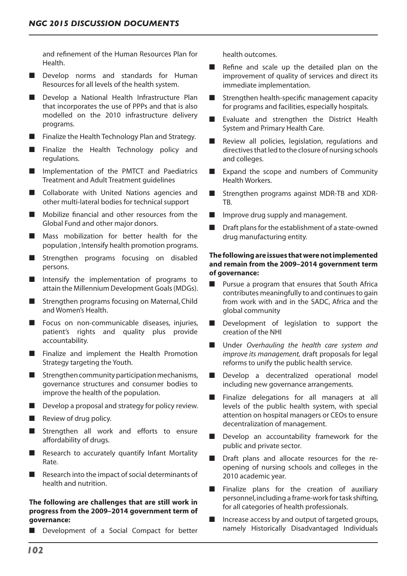and refinement of the Human Resources Plan for Health.

- Develop norms and standards for Human Resources for all levels of the health system.
- Develop a National Health Infrastructure Plan that incorporates the use of PPPs and that is also modelled on the 2010 infrastructure delivery programs.
- Finalize the Health Technology Plan and Strategy.
- Finalize the Health Technology policy and regulations.
- Implementation of the PMTCT and Paediatrics Treatment and Adult Treatment guidelines
- Collaborate with United Nations agencies and other multi-lateral bodies for technical support
- Mobilize financial and other resources from the Global Fund and other major donors.
- Mass mobilization for better health for the population , Intensify health promotion programs.
- Strengthen programs focusing on disabled persons.
- Intensify the implementation of programs to attain the Millennium Development Goals(MDGs).
- Strengthen programs focusing on Maternal, Child and Women's Health.
- Focus on non-communicable diseases, injuries, patient's rights and quality plus provide accountability.
- Finalize and implement the Health Promotion Strategy targeting the Youth.
- $\blacksquare$  Strengthen community participation mechanisms, governance structures and consumer bodies to improve the health of the population.
- Develop a proposal and strategy for policy review.
- Review of drug policy.
- Strengthen all work and efforts to ensure affordability of drugs.
- Research to accurately quantify Infant Mortality Rate.
- Research into the impact of social determinants of health and nutrition.

### **The following are challenges that are still work in progress from the 2009–2014 government term of governance:**

■ Development of a Social Compact for better

health outcomes.

- Refine and scale up the detailed plan on the improvement of quality of services and direct its immediate implementation.
- Strengthen health-specific management capacity for programs and facilities, especially hospitals.
- Evaluate and strengthen the District Health System and Primary Health Care.
- Review all policies, legislation, regulations and directives that led to the closure of nursing schools and colleges.
- Expand the scope and numbers of Community Health Workers.
- Strengthen programs against MDR-TB and XDR-TB.
- Improve drug supply and management.
- Draft plans for the establishment of a state-owned drug manufacturing entity.

# **The following are issues that were not implemented and remain from the 2009–2014 government term of governance:**

- Pursue a program that ensures that South Africa contributes meaningfully to and continues to gain from work with and in the SADC, Africa and the global community
- Development of legislation to support the creation of the NHI
- Under *Overhauling the health care system and improve its management,* draft proposals for legal reforms to unify the public health service.
- Develop a decentralized operational model including new governance arrangements.
- Finalize delegations for all managers at all levels of the public health system, with special attention on hospital managers or CEOs to ensure decentralization of management.
- Develop an accountability framework for the public and private sector.
- Draft plans and allocate resources for the reopening of nursing schools and colleges in the 2010 academic year.
- Finalize plans for the creation of auxiliary personnel, including a frame-work for task shifting, for all categories of health professionals.
- Increase access by and output of targeted groups, namely Historically Disadvantaged Individuals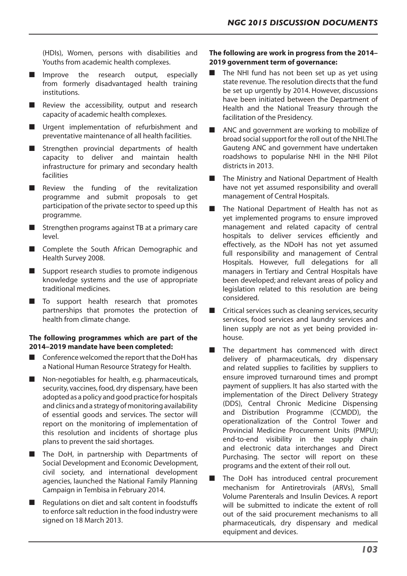(HDIs), Women, persons with disabilities and Youths from academic health complexes.

- Improve the research output, especially from formerly disadvantaged health training institutions.
- Review the accessibility, output and research capacity of academic health complexes.
- Urgent implementation of refurbishment and preventative maintenance of all health facilities.
- Strengthen provincial departments of health capacity to deliver and maintain health infrastructure for primary and secondary health facilities
- Review the funding of the revitalization programme and submit proposals to get participation of the private sector to speed up this programme.
- Strengthen programs against TB at a primary care level.
- Complete the South African Demographic and Health Survey 2008.
- Support research studies to promote indigenous knowledge systems and the use of appropriate traditional medicines.
- To support health research that promotes partnerships that promotes the protection of health from climate change.

## **The following programmes which are part of the 2014–2019 mandate have been completed:**

- $\blacksquare$  Conference welcomed the report that the DoH has a National Human Resource Strategy for Health.
- Non-negotiables for health, e.g. pharmaceuticals, security, vaccines, food, dry dispensary, have been adopted as a policy and good practice for hospitals and clinics and a strategy of monitoring availability of essential goods and services. The sector will report on the monitoring of implementation of this resolution and incidents of shortage plus plans to prevent the said shortages.
- The DoH, in partnership with Departments of Social Development and Economic Development, civil society, and international development agencies, launched the National Family Planning Campaign in Tembisa in February 2014.
- Regulations on diet and salt content in foodstuffs to enforce salt reduction in the food industry were signed on 18 March 2013.

#### **The following are work in progress from the 2014– 2019 government term of governance:**

- The NHI fund has not been set up as yet using state revenue. The resolution directs that the fund be set up urgently by 2014. However, discussions have been initiated between the Department of Health and the National Treasury through the facilitation of the Presidency.
- ANC and government are working to mobilize of broad social support for the roll out of the NHI. The Gauteng ANC and government have undertaken roadshows to popularise NHI in the NHI Pilot districts in 2013.
- The Ministry and National Department of Health have not yet assumed responsibility and overall management of Central Hospitals.
- The National Department of Health has not as yet implemented programs to ensure improved management and related capacity of central hospitals to deliver services efficiently and effectively, as the NDoH has not yet assumed full responsibility and management of Central Hospitals. However, full delegations for all managers in Tertiary and Central Hospitals have been developed; and relevant areas of policy and legislation related to this resolution are being considered.
- $\blacksquare$  Critical services such as cleaning services, security services, food services and laundry services and linen supply are not as yet being provided inhouse.
- The department has commenced with direct delivery of pharmaceuticals, dry dispensary and related supplies to facilities by suppliers to ensure improved turnaround times and prompt payment of suppliers. It has also started with the implementation of the Direct Delivery Strategy (DDS), Central Chronic Medicine Dispensing and Distribution Programme (CCMDD), the operationalization of the Control Tower and Provincial Medicine Procurement Units (PMPU); end-to-end visibility in the supply chain and electronic data interchanges and Direct Purchasing. The sector will report on these programs and the extent of their roll out.
- The DoH has introduced central procurement mechanism for Antiretrovirals (ARVs), Small Volume Parenterals and Insulin Devices. A report will be submitted to indicate the extent of roll out of the said procurement mechanisms to all pharmaceuticals, dry dispensary and medical equipment and devices.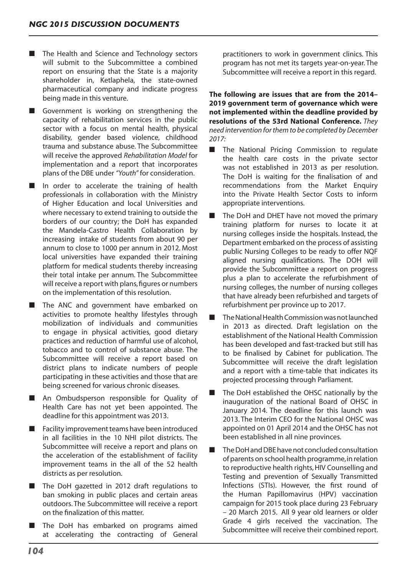- The Health and Science and Technology sectors will submit to the Subcommittee a combined report on ensuring that the State is a majority shareholder in, Ketlaphela, the state-owned pharmaceutical company and indicate progress being made in this venture.
- Government is working on strengthening the capacity of rehabilitation services in the public sector with a focus on mental health, physical disability, gender based violence, childhood trauma and substance abuse. The Subcommittee will receive the approved *Rehabilitation Model* for implementation and a report that incorporates plans of the DBE under *"Youth"* for consideration.
- In order to accelerate the training of health professionals in collaboration with the Ministry of Higher Education and local Universities and where necessary to extend training to outside the borders of our country; the DoH has expanded the Mandela-Castro Health Collaboration by increasing intake of students from about 90 per annum to close to 1000 per annum in 2012. Most local universities have expanded their training platform for medical students thereby increasing their total intake per annum. The Subcommittee will receive a report with plans, figures or numbers on the implementation of this resolution.
- The ANC and government have embarked on activities to promote healthy lifestyles through mobilization of individuals and communities to engage in physical activities, good dietary practices and reduction of harmful use of alcohol, tobacco and to control of substance abuse. The Subcommittee will receive a report based on district plans to indicate numbers of people participating in these activities and those that are being screened for various chronic diseases.
- An Ombudsperson responsible for Quality of Health Care has not yet been appointed. The deadline for this appointment was 2013.
- Facility improvement teams have been introduced in all facilities in the 10 NHI pilot districts. The Subcommittee will receive a report and plans on the acceleration of the establishment of facility improvement teams in the all of the 52 health districts as per resolution.
- The DoH gazetted in 2012 draft regulations to ban smoking in public places and certain areas outdoors. The Subcommittee will receive a report on the finalization of this matter.
- The DoH has embarked on programs aimed at accelerating the contracting of General

practitioners to work in government clinics. This program has not met its targets year-on-year. The Subcommittee will receive a report in this regard.

**The following are issues that are from the 2014– 2019 government term of governance which were not implemented within the deadline provided by resolutions of the 53rd National Conference.** *They need intervention for them to be completed by December 2017:*

- The National Pricing Commission to regulate the health care costs in the private sector was not established in 2013 as per resolution. The DoH is waiting for the finalisation of and recommendations from the Market Enquiry into the Private Health Sector Costs to inform appropriate interventions.
- The DoH and DHET have not moved the primary training platform for nurses to locate it at nursing colleges inside the hospitals. Instead, the Department embarked on the process of assisting public Nursing Colleges to be ready to offer NQF aligned nursing qualifications. The DOH will provide the Subcommittee a report on progress plus a plan to accelerate the refurbishment of nursing colleges, the number of nursing colleges that have already been refurbished and targets of refurbishment per province up to 2017.
- The National Health Commission was not launched in 2013 as directed. Draft legislation on the establishment of the National Health Commission has been developed and fast-tracked but still has to be finalised by Cabinet for publication. The Subcommittee will receive the draft legislation and a report with a time-table that indicates its projected processing through Parliament.
- The DoH established the OHSC nationally by the inauguration of the national Board of OHSC in January 2014. The deadline for this launch was 2013. The Interim CEO for the National OHSC was appointed on 01 April 2014 and the OHSC has not been established in all nine provinces.
- The DoH and DBE have not concluded consultation of parents on school health programme,in relation to reproductive health rights, HIV Counselling and Testing and prevention of Sexually Transmitted Infections (STIs). However, the first round of the Human Papillomavirus (HPV) vaccination campaign for 2015 took place during 23 February – 20 March 2015. All 9 year old learners or older Grade 4 girls received the vaccination. The Subcommittee will receive their combined report.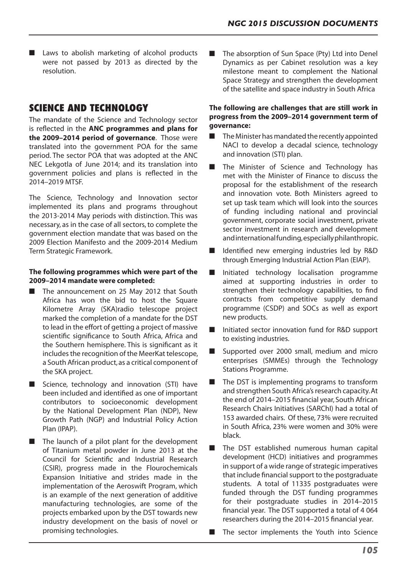■ Laws to abolish marketing of alcohol products were not passed by 2013 as directed by the resolution.

# **SCIENCE AND TECHNOLOGY**

The mandate of the Science and Technology sector is reflected in the **ANC programmes and plans for the 2009–2014 period of governance**. Those were translated into the government POA for the same period. The sector POA that was adopted at the ANC NEC Lekgotla of June 2014; and its translation into government policies and plans is reflected in the 2014–2019 MTSF.

The Science, Technology and Innovation sector implemented its plans and programs throughout the 2013-2014 May periods with distinction. This was necessary, as in the case of all sectors,to complete the government election mandate that was based on the 2009 Election Manifesto and the 2009-2014 Medium Term Strategic Framework.

## **The following programmes which were part of the 2009–2014 mandate were completed:**

- The announcement on 25 May 2012 that South Africa has won the bid to host the Square Kilometre Array (SKA)radio telescope project marked the completion of a mandate for the DST to lead in the effort of getting a project of massive scientific significance to South Africa, Africa and the Southern hemisphere. This is significant as it includes the recognition of the MeerKat telescope, a South African product, as a critical component of the SKA project.
- Science, technology and innovation (STI) have been included and identified as one of important contributors to socioeconomic development by the National Development Plan (NDP), New Growth Path (NGP) and Industrial Policy Action Plan (IPAP).
- The launch of a pilot plant for the development of Titanium metal powder in June 2013 at the Council for Scientific and Industrial Research (CSIR), progress made in the Flourochemicals Expansion Initiative and strides made in the implementation of the Aeroswift Program, which is an example of the next generation of additive manufacturing technologies, are some of the projects embarked upon by the DST towards new industry development on the basis of novel or promising technologies.

The absorption of Sun Space (Pty) Ltd into Denel Dynamics as per Cabinet resolution was a key milestone meant to complement the National Space Strategy and strengthen the development of the satellite and space industry in South Africa

# **The following are challenges that are still work in progress from the 2009–2014 government term of governance:**

- The Minister has mandated the recently appointed NACI to develop a decadal science, technology and innovation (STI) plan.
- The Minister of Science and Technology has met with the Minister of Finance to discuss the proposal for the establishment of the research and innovation vote. Both Ministers agreed to set up task team which will look into the sources of funding including national and provincial government, corporate social investment, private sector investment in research and development andinternationalfunding, especiallyphilanthropic.
- Identified new emerging industries led by R&D through Emerging Industrial Action Plan (EIAP).
- Initiated technology localisation programme aimed at supporting industries in order to strengthen their technology capabilities, to find contracts from competitive supply demand programme (CSDP) and SOCs as well as export new products.
- Initiated sector innovation fund for R&D support to existing industries.
- Supported over 2000 small, medium and micro enterprises (SMMEs) through the Technology Stations Programme.
- The DST is implementing programs to transform and strengthen South Africa's research capacity. At the end of 2014–2015 financial year, South African Research Chairs Initiatives (SARChI) had a total of 153 awarded chairs. Of these, 73% were recruited in South Africa, 23% were women and 30% were black.
- The DST established numerous human capital development (HCD) initiatives and programmes in support of a wide range of strategic imperatives that include financial support to the postgraduate students. A total of 11335 postgraduates were funded through the DST funding programmes for their postgraduate studies in 2014–2015 financial year. The DST supported a total of 4 064 researchers during the 2014–2015 financial year.
- The sector implements the Youth into Science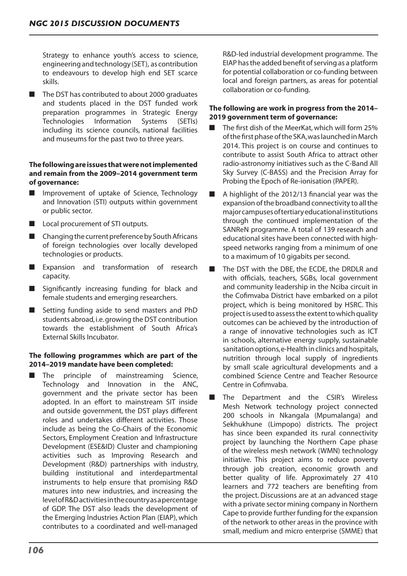Strategy to enhance youth's access to science, engineeringandtechnology (SET), as contribution to endeavours to develop high end SET scarce skills.

■ The DST has contributed to about 2000 graduates and students placed in the DST funded work preparation programmes in Strategic Energy Technologies Information Systems (SETIs) including its science councils, national facilities and museums for the past two to three years.

# **The following are issues that were not implemented and remain from the 2009–2014 government term of governance:**

- Improvement of uptake of Science, Technology and Innovation (STI) outputs within government or public sector.
- Local procurement of STI outputs.
- $\blacksquare$  Changing the current preference by South Africans of foreign technologies over locally developed technologies or products.
- Expansion and transformation of research capacity.
- Significantly increasing funding for black and female students and emerging researchers.
- Setting funding aside to send masters and PhD students abroad,i.e.growing the DST contribution towards the establishment of South Africa's External Skills Incubator.

# **The following programmes which are part of the 2014–2019 mandate have been completed:**

The principle of mainstreaming Science, Technology and Innovation in the ANC, government and the private sector has been adopted. In an effort to mainstream SIT inside and outside government, the DST plays different roles and undertakes different activities. Those include as being the Co-Chairs of the Economic Sectors, Employment Creation and Infrastructure Development (ESE&ID) Cluster and championing activities such as Improving Research and Development (R&D) partnerships with industry, building institutional and interdepartmental instruments to help ensure that promising R&D matures into new industries, and increasing the levelofR&Dactivitiesinthecountryasapercentage of GDP. The DST also leads the development of the Emerging Industries Action Plan (EIAP), which contributes to a coordinated and well-managed R&D-led industrial development programme. The EIAP has the added benefit of serving as a platform for potential collaboration or co-funding between local and foreign partners, as areas for potential collaboration or co-funding.

# **The following are work in progress from the 2014– 2019 government term of governance:**

- The first dish of the MeerKat, which will form 25% of the first phase of the SKA, was launched in March 2014. This project is on course and continues to contribute to assist South Africa to attract other radio-astronomy initiatives such as the C-Band All Sky Survey (C-BASS) and the Precision Array for Probing the Epoch of Re-ionisation (PAPER).
- A highlight of the 2012/13 financial year was the expansion of the broadband connectivity to all the majorcampusesoftertiaryeducationalinstitutions through the continued implementation of the SANReN programme. A total of 139 research and educational sites have been connected with highspeed networks ranging from a minimum of one to a maximum of 10 gigabits per second.
- The DST with the DBE, the ECDE, the DRDLR and with officials, teachers, SGBs, local government and community leadership in the Nciba circuit in the Cofimvaba District have embarked on a pilot project, which is being monitored by HSRC. This project is used to assess the extent to which quality outcomes can be achieved by the introduction of a range of innovative technologies such as ICT in schools, alternative energy supply, sustainable sanitation options, e-Health in clinics and hospitals, nutrition through local supply of ingredients by small scale agricultural developments and a combined Science Centre and Teacher Resource Centre in Cofimvaba.
- The Department and the CSIR's Wireless Mesh Network technology project connected 200 schools in Nkangala (Mpumalanga) and Sekhukhune (Limpopo) districts. The project has since been expanded its rural connectivity project by launching the Northern Cape phase of the wireless mesh network (WMN) technology initiative. This project aims to reduce poverty through job creation, economic growth and better quality of life. Approximately 27 410 learners and 772 teachers are benefiting from the project. Discussions are at an advanced stage with a private sector mining company in Northern Cape to provide further funding for the expansion of the network to other areas in the province with small, medium and micro enterprise (SMME) that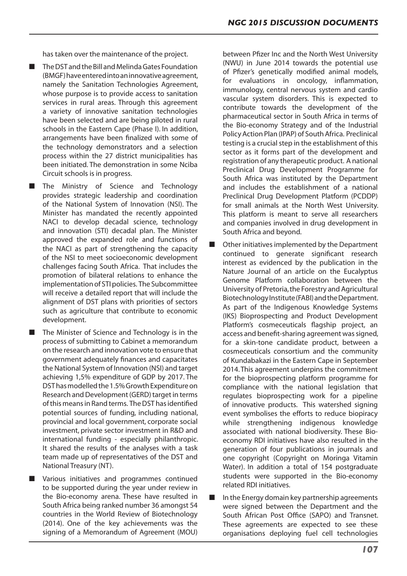has taken over the maintenance of the project.

- The DST and the Bill and Melinda Gates Foundation (BMGF)haveenteredintoaninnovativeagreement, namely the Sanitation Technologies Agreement, whose purpose is to provide access to sanitation services in rural areas. Through this agreement a variety of innovative sanitation technologies have been selected and are being piloted in rural schools in the Eastern Cape (Phase I). In addition, arrangements have been finalized with some of the technology demonstrators and a selection process within the 27 district municipalities has been initiated. The demonstration in some Nciba Circuit schools is in progress.
- The Ministry of Science and Technology provides strategic leadership and coordination of the National System of Innovation (NSI). The Minister has mandated the recently appointed NACI to develop decadal science, technology and innovation (STI) decadal plan. The Minister approved the expanded role and functions of the NACI as part of strengthening the capacity of the NSI to meet socioeconomic development challenges facing South Africa. That includes the promotion of bilateral relations to enhance the implementation of STI policies. The Subcommittee will receive a detailed report that will include the alignment of DST plans with priorities of sectors such as agriculture that contribute to economic development.
- The Minister of Science and Technology is in the process of submitting to Cabinet a memorandum on the research and innovation vote to ensure that government adequately finances and capacitates the National System of Innovation (NSI) and target achieving 1,5% expenditure of GDP by 2017. The DSThasmodelledthe1.5%GrowthExpenditureon Research and Development (GERD) target in terms of this means in Rand terms. The DST has identified potential sources of funding, including national, provincial and local government, corporate social investment, private sector investment in R&D and international funding - especially philanthropic. It shared the results of the analyses with a task team made up of representatives of the DST and National Treasury (NT).
- Various initiatives and programmes continued to be supported during the year under review in the Bio-economy arena. These have resulted in South Africa being ranked number 36 amongst 54 countries in the World Review of Biotechnology (2014). One of the key achievements was the signing of a Memorandum of Agreement (MOU)

between Pfizer Inc and the North West University (NWU) in June 2014 towards the potential use of Pfizer's genetically modified animal models, for evaluations in oncology, inflammation, immunology, central nervous system and cardio vascular system disorders. This is expected to contribute towards the development of the pharmaceutical sector in South Africa in terms of the Bio-economy Strategy and of the Industrial PolicyAction Plan (IPAP) of SouthAfrica. Preclinical testing is a crucial step in the establishment of this sector as it forms part of the development and registration of any therapeutic product. A national Preclinical Drug Development Programme for South Africa was instituted by the Department and includes the establishment of a national Preclinical Drug Development Platform (PCDDP) for small animals at the North West University. This platform is meant to serve all researchers and companies involved in drug development in South Africa and beyond.

- Other initiatives implemented by the Department continued to generate significant research interest as evidenced by the publication in the Nature Journal of an article on the Eucalyptus Genome Platform collaboration between the University of Pretoria,the Forestry and Agricultural Biotechnology Institute (FABI) and the Department. As part of the Indigenous Knowledge Systems (IKS) Bioprospecting and Product Development Platform's cosmeceuticals flagship project, an access and benefit-sharing agreement was signed, for a skin-tone candidate product, between a cosmeceuticals consortium and the community of Kundabakazi in the Eastern Cape in September 2014.This agreement underpins the commitment for the bioprospecting platform programme for compliance with the national legislation that regulates bioprospecting work for a pipeline of innovative products. This watershed signing event symbolises the efforts to reduce biopiracy while strengthening indigenous knowledge associated with national biodiversity. These Bioeconomy RDI initiatives have also resulted in the generation of four publications in journals and one copyright (Copyright on Moringa Vitamin Water). In addition a total of 154 postgraduate students were supported in the Bio-economy related RDI initiatives.
- In the Energy domain key partnership agreements were signed between the Department and the South African Post Office (SAPO) and Transnet. These agreements are expected to see these organisations deploying fuel cell technologies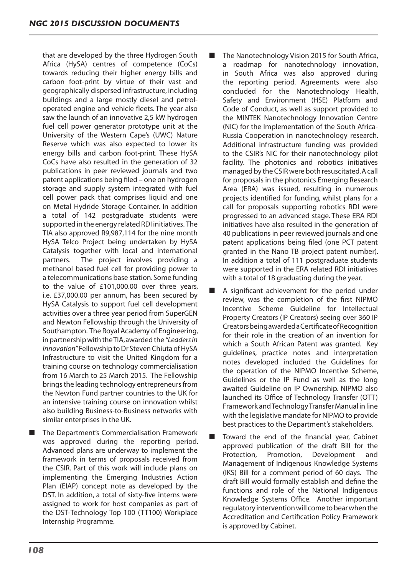that are developed by the three Hydrogen South Africa (HySA) centres of competence (CoCs) towards reducing their higher energy bills and carbon foot-print by virtue of their vast and geographically dispersed infrastructure, including buildings and a large mostly diesel and petroloperated engine and vehicle fleets. The year also saw the launch of an innovative 2,5 kW hydrogen fuel cell power generator prototype unit at the University of the Western Cape's (UWC) Nature Reserve which was also expected to lower its energy bills and carbon foot-print. These HySA CoCs have also resulted in the generation of 32 publications in peer reviewed journals and two patent applications being filed – one on hydrogen storage and supply system integrated with fuel cell power pack that comprises liquid and one on Metal Hydride Storage Container. In addition a total of 142 postgraduate students were supported in the energy related RDI initiatives. The TIA also approved R9,987,114 for the nine month HySA Telco Project being undertaken by HySA Catalysis together with local and international partners. The project involves providing a methanol based fuel cell for providing power to a telecommunications base station.Some funding to the value of £101,000.00 over three years, i.e. £37,000.00 per annum, has been secured by HySA Catalysis to support fuel cell development activities over a three year period from SuperGEN and Newton Fellowship through the University of Southampton. The Royal Academy of Engineering, in partnership with the TIA, awarded the *"Leaders in Innovation"* Fellowship to Dr Steven Chiuta of HySA Infrastructure to visit the United Kingdom for a training course on technology commercialisation from 16 March to 25 March 2015. The Fellowship brings the leading technology entrepreneurs from the Newton Fund partner countries to the UK for an intensive training course on innovation whilst also building Business-to-Business networks with similar enterprises in the UK.

■ The Department's Commercialisation Framework was approved during the reporting period. Advanced plans are underway to implement the framework in terms of proposals received from the CSIR. Part of this work will include plans on implementing the Emerging Industries Action Plan (EIAP) concept note as developed by the DST. In addition, a total of sixty-five interns were assigned to work for host companies as part of the DST-Technology Top 100 (TT100) Workplace Internship Programme.

- The Nanotechnology Vision 2015 for South Africa, a roadmap for nanotechnology innovation, in South Africa was also approved during the reporting period. Agreements were also concluded for the Nanotechnology Health, Safety and Environment (HSE) Platform and Code of Conduct, as well as support provided to the MINTEK Nanotechnology Innovation Centre (NIC) for the Implementation of the South Africa-Russia Cooperation in nanotechnology research. Additional infrastructure funding was provided to the CSIR's NIC for their nanotechnology pilot facility. The photonics and robotics initiatives managed by theCSIRwere both resuscitated.Acall for proposals in the photonics Emerging Research Area (ERA) was issued, resulting in numerous projects identified for funding, whilst plans for a call for proposals supporting robotics RDI were progressed to an advanced stage. These ERA RDI initiatives have also resulted in the generation of 40 publications in peer reviewed journals and one patent applications being filed (one PCT patent granted in the Nano TB project patent number). In addition a total of 111 postgraduate students were supported in the ERA related RDI initiatives with a total of 18 graduating during the year.
- A significant achievement for the period under review, was the completion of the first NIPMO Incentive Scheme Guideline for Intellectual Property Creators (IP Creators) seeing over 360 IP CreatorsbeingawardedaCertificateofRecognition for their role in the creation of an invention for which a South African Patent was granted. Key guidelines, practice notes and interpretation notes developed included the Guidelines for the operation of the NIPMO Incentive Scheme, Guidelines or the IP Fund as well as the long awaited Guideline on IP Ownership. NIPMO also launched its Office of Technology Transfer (OTT) Framework andTechnologyTransfer Manual inline with the legislative mandate for NIPMO to provide best practices to the Department's stakeholders.

Toward the end of the financial year, Cabinet approved publication of the draft Bill for the Protection, Promotion, Development and Management of Indigenous Knowledge Systems (IKS) Bill for a comment period of 60 days. The draft Bill would formally establish and define the functions and role of the National Indigenous Knowledge Systems Office. Another important regulatory interventionwill cometobearwhenthe Accreditation and Certification Policy Framework is approved by Cabinet.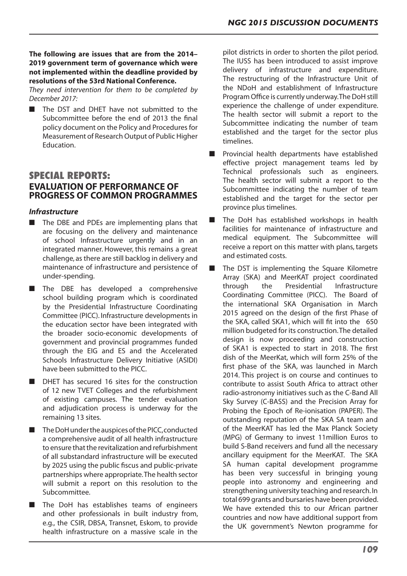# **The following are issues that are from the 2014– 2019 government term of governance which were not implemented within the deadline provided by resolutions of the 53rd National Conference.**

*They need intervention for them to be completed by December 2017:*

The DST and DHET have not submitted to the Subcommittee before the end of 2013 the final policy document on the Policy and Procedures for Measurement of Research Output of Public Higher Education.

# **SPECIAL REPORTS: EVALUATION OF PERFORMANCE OF PROGRESS OF COMMON PROGRAMMES**

# *Infrastructure*

- The DBE and PDEs are implementing plans that are focusing on the delivery and maintenance of school Infrastructure urgently and in an integrated manner. However, this remains a great challenge, asthere are still backlog in delivery and maintenance of infrastructure and persistence of under-spending.
- The DBE has developed a comprehensive school building program which is coordinated by the Presidential Infrastructure Coordinating Committee (PICC). Infrastructure developments in the education sector have been integrated with the broader socio-economic developments of government and provincial programmes funded through the EIG and ES and the Accelerated Schools Infrastructure Delivery Initiative (ASIDI) have been submitted to the PICC.
- DHET has secured 16 sites for the construction of 12 new TVET Colleges and the refurbishment of existing campuses. The tender evaluation and adjudication process is underway for the remaining 13 sites.
- The DoH under the auspices of the PICC, conducted a comprehensive audit of all health infrastructure to ensure that the revitalization and refurbishment of all substandard infrastructure will be executed by 2025 using the public fiscus and public-private partnerships where appropriate.The health sector will submit a report on this resolution to the Subcommittee.
- The DoH has establishes teams of engineers and other professionals in built industry from, e.g., the CSIR, DBSA, Transnet, Eskom, to provide health infrastructure on a massive scale in the

pilot districts in order to shorten the pilot period. The IUSS has been introduced to assist improve delivery of infrastructure and expenditure. The restructuring of the Infrastructure Unit of the NDoH and establishment of Infrastructure Program Office is currently underway. The DoH still experience the challenge of under expenditure. The health sector will submit a report to the Subcommittee indicating the number of team established and the target for the sector plus timelines.

- Provincial health departments have established effective project management teams led by Technical professionals such as engineers. The health sector will submit a report to the Subcommittee indicating the number of team established and the target for the sector per province plus timelines.
- The DoH has established workshops in health facilities for maintenance of infrastructure and medical equipment. The Subcommittee will receive a report on this matter with plans, targets and estimated costs.
	- The DST is implementing the Square Kilometre Array (SKA) and MeerKAT project coordinated through the Presidential Infrastructure Coordinating Committee (PICC). The Board of the international SKA Organisation in March 2015 agreed on the design of the first Phase of the SKA, called SKA1, which will fit into the 650 million budgeted for its construction.The detailed design is now proceeding and construction of SKA1 is expected to start in 2018. The first dish of the MeerKat, which will form 25% of the first phase of the SKA, was launched in March 2014. This project is on course and continues to contribute to assist South Africa to attract other radio-astronomy initiatives such as the C-Band All Sky Survey (C-BASS) and the Precision Array for Probing the Epoch of Re-ionisation (PAPER). The outstanding reputation of the SKA SA team and of the MeerKAT has led the Max Planck Society (MPG) of Germany to invest 11million Euros to build S-Band receivers and fund all the necessary ancillary equipment for the MeerKAT. The SKA SA human capital development programme has been very successful in bringing young people into astronomy and engineering and strengthening university teaching and research.In total 699 grants and bursaries have been provided. We have extended this to our African partner countries and now have additional support from the UK government's Newton programme for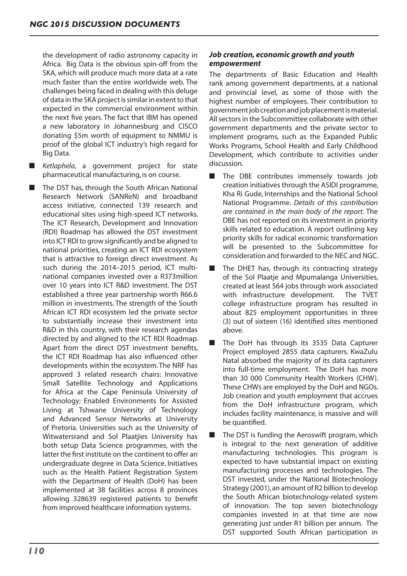the development of radio astronomy capacity in Africa. Big Data is the obvious spin-off from the SKA, which will produce much more data at a rate much faster than the entire worldwide web. The challenges being faced in dealing with this deluge of data in the SKA project is similar in extent to that expected in the commercial environment within the next five years. The fact that IBM has opened a new laboratory in Johannesburg and CISCO donating \$5m worth of equipment to NMMU is proof of the global ICT industry's high regard for Big Data.

■ *Ketlaphela*, a government project for state pharmaceutical manufacturing, is on course.

■ The DST has, through the South African National Research Network (SANReN) and broadband access initiative, connected 139 research and educational sites using high-speed ICT networks. The ICT Research, Development and Innovation (RDI) Roadmap has allowed the DST investment into ICT RDI to grow significantly and be aligned to national priorities, creating an ICT RDI ecosystem that is attractive to foreign direct investment. As such during the 2014–2015 period, ICT multinational companies invested over a R373million over 10 years into ICT R&D investment. The DST established a three year partnership worth R66.6 million in investments. The strength of the South African ICT RDI ecosystem led the private sector to substantially increase their investment into R&D in this country, with their research agendas directed by and aligned to the ICT RDI Roadmap. Apart from the direct DST investment benefits, the ICT RDI Roadmap has also influenced other developments within the ecosystem.The NRF has approved 3 related research chairs: Innovative Small Satellite Technology and Applications for Africa at the Cape Peninsula University of Technology; Enabled Environments for Assisted Living at Tshwane University of Technology and Advanced Sensor Networks at University of Pretoria. Universities such as the University of Witwatersrand and Sol Plaatjies University has both setup Data Science programmes, with the latter the first institute on the continent to offer an undergraduate degree in Data Science. Initiatives such as the Health Patient Registration System with the Department of Health (DoH) has been implemented at 38 facilities across 8 provinces allowing 328639 registered patients to benefit from improved healthcare information systems.

# *Job creation, economic growth and youth empowerment*

The departments of Basic Education and Health rank among government departments, at a national and provincial level, as some of those with the highest number of employees. Their contribution to government job creation and job placement is material. All sectors in the Subcommittee collaborate with other government departments and the private sector to implement programs, such as the Expanded Public Works Programs, School Health and Early Childhood Development, which contribute to activities under discussion.

- The DBE contributes immensely towards job creation initiatives through the ASIDI programme, Kha Ri Gude, Internships and the National School National Programme. *Details of this contribution are contained in the main body of the report.* The DBE has not reported on its investment in priority skills related to education. A report outlining key priority skills for radical economic transformation will be presented to the Subcommittee for consideration and forwarded to the NEC and NGC.
- The DHET has, through its contracting strategy of the Sol Plaatje and Mpumalanga Universities, created at least 564 jobs through work associated with infrastructure development. The TVET college infrastructure program has resulted in about 825 employment opportunities in three (3) out of sixteen (16) identified sites mentioned above.
- The DoH has through its 3535 Data Capturer Project employed 2855 data capturers. KwaZulu Natal absorbed the majority of its data capturers into full-time employment. The DoH has more than 30 000 Community Health Workers (CHW). These CHWs are employed by the DoH and NGOs. Job creation and youth employment that accrues from the DoH infrastructure program, which includes facility maintenance, is massive and will be quantified.
- The DST is funding the Aeroswift program, which is integral to the next generation of additive manufacturing technologies. This program is expected to have substantial impact on existing manufacturing processes and technologies. The DST invested, under the National Biotechnology Strategy (2001),an amount of R2 billion to develop the South African biotechnology-related system of innovation. The top seven biotechnology companies invested in at that time are now generating just under R1 billion per annum. The DST supported South African participation in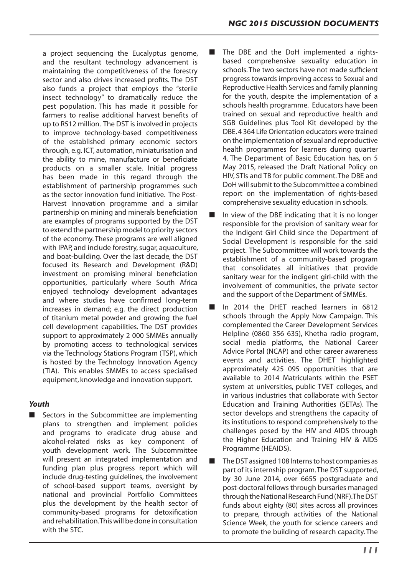a project sequencing the Eucalyptus genome, and the resultant technology advancement is maintaining the competitiveness of the forestry sector and also drives increased profits. The DST also funds a project that employs the "sterile insect technology" to dramatically reduce the pest population. This has made it possible for farmers to realise additional harvest benefits of up to R512 million. The DST is involved in projects to improve technology-based competitiveness of the established primary economic sectors through, e.g. ICT, automation, miniaturisation and the ability to mine, manufacture or beneficiate products on a smaller scale. Initial progress has been made in this regard through the establishment of partnership programmes such as the sector innovation fund initiative. The Post-Harvest Innovation programme and a similar partnership on mining and minerals beneficiation are examples of programs supported by the DST to extend the partnership model to priority sectors of the economy. These programs are well aligned with IPAP, and include forestry, sugar, aquaculture, and boat-building. Over the last decade, the DST focused its Research and Development (R&D) investment on promising mineral beneficiation opportunities, particularly where South Africa enjoyed technology development advantages and where studies have confirmed long-term increases in demand; e.g. the direct production of titanium metal powder and growing the fuel cell development capabilities. The DST provides support to approximately 2 000 SMMEs annually by promoting access to technological services via the Technology Stations Program (TSP), which is hosted by the Technology Innovation Agency (TIA). This enables SMMEs to access specialised equipment, knowledge and innovation support.

# *Youth*

■ Sectors in the Subcommittee are implementing plans to strengthen and implement policies and programs to eradicate drug abuse and alcohol-related risks as key component of youth development work. The Subcommittee will present an integrated implementation and funding plan plus progress report which will include drug-testing guidelines, the involvement of school-based support teams, oversight by national and provincial Portfolio Committees plus the development by the health sector of community-based programs for detoxification and rehabilitation. This will be done in consultation with the STC.

- The DBE and the DoH implemented a rightsbased comprehensive sexuality education in schools.The two sectors have not made sufficient progress towards improving access to Sexual and Reproductive Health Services and family planning for the youth, despite the implementation of a schools health programme. Educators have been trained on sexual and reproductive health and SGB Guidelines plus Tool Kit developed by the DBE.4 364 Life Orientation educators were trained on the implementation ofsexual and reproductive health programmes for learners during quarter 4. The Department of Basic Education has, on 5 May 2015, released the Draft National Policy on HIV, STIs and TB for public comment.The DBE and DoH willsubmit to the Subcommittee a combined report on the implementation of rights-based comprehensive sexuality education in schools.
- In view of the DBE indicating that it is no longer responsible for the provision of sanitary wear for the Indigent Girl Child since the Department of Social Development is responsible for the said project. The Subcommittee will work towards the establishment of a community-based program that consolidates all initiatives that provide sanitary wear for the indigent girl-child with the involvement of communities, the private sector and the support of the Department of SMMEs.
- In 2014 the DHET reached learners in 6812 schools through the Apply Now Campaign. This complemented the Career Development Services Helpline (0860 356 635), Khetha radio program, social media platforms, the National Career Advice Portal (NCAP) and other career awareness events and activities. The DHET highlighted approximately 425 095 opportunities that are available to 2014 Matriculants within the PSET system at universities, public TVET colleges, and in various industries that collaborate with Sector Education and Training Authorities (SETAs). The sector develops and strengthens the capacity of its institutions to respond comprehensively to the challenges posed by the HIV and AIDS through the Higher Education and Training HIV & AIDS Programme (HEAIDS).
- The DST assigned 108 Interns to host companies as part of its internship program.The DST supported, by 30 June 2014, over 6655 postgraduate and post-doctoral fellows through bursaries managed through the National Research Fund (NRF). The DST funds about eighty (80) sites across all provinces to prepare, through activities of the National Science Week, the youth for science careers and to promote the building of research capacity. The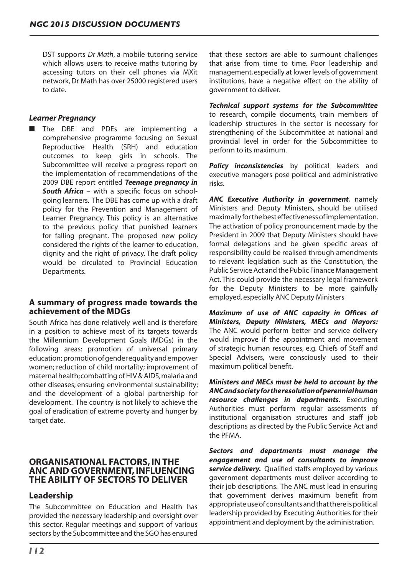DST supports *Dr Math*, a mobile tutoring service which allows users to receive maths tutoring by accessing tutors on their cell phones via MXit network,Dr Math has over 25000 registered users to date.

# *Learner Pregnancy*

■ The DBE and PDEs are implementing a comprehensive programme focusing on Sexual Reproductive Health (SRH) and education outcomes to keep girls in schools. The Subcommittee will receive a progress report on the implementation of recommendations of the 2009 DBE report entitled *Teenage pregnancy in*  **South Africa** – with a specific focus on schoolgoing learners. The DBE has come up with a draft policy for the Prevention and Management of Learner Pregnancy. This policy is an alternative to the previous policy that punished learners for falling pregnant. The proposed new policy considered the rights of the learner to education, dignity and the right of privacy. The draft policy would be circulated to Provincial Education Departments.

# **A summary of progress made towards the achievement of the MDGs**

South Africa has done relatively well and is therefore in a position to achieve most of its targets towards the Millennium Development Goals (MDGs) in the following areas: promotion of universal primary education; promotionofgenderequalityandempower women; reduction of child mortality; improvement of maternal health; combatting of HIV & AIDS, malaria and other diseases; ensuring environmental sustainability; and the development of a global partnership for development. The country is not likely to achieve the goal of eradication of extreme poverty and hunger by target date.

# **ORGANISATIONAL FACTORS, IN THE ANC AND GOVERNMENT, INFLUENCING THE ABILITY OF SECTORS TO DELIVER**

# **Leadership**

The Subcommittee on Education and Health has provided the necessary leadership and oversight over this sector. Regular meetings and support of various sectors by the Subcommittee and the SGOhas ensured

that these sectors are able to surmount challenges that arise from time to time. Poor leadership and management,especially at lower levels of government institutions, have a negative effect on the ability of government to deliver.

*Technical support systems for the Subcommittee*  to research, compile documents, train members of leadership structures in the sector is necessary for strengthening of the Subcommittee at national and provincial level in order for the Subcommittee to perform to its maximum.

**Policy inconsistencies** by political leaders and executive managers pose political and administrative risks.

*ANC Executive Authority in government*, namely Ministers and Deputy Ministers, should be utilised maximallyforthebesteffectivenessofimplementation. The activation of policy pronouncement made by the President in 2009 that Deputy Ministers should have formal delegations and be given specific areas of responsibility could be realised through amendments to relevant legislation such as the Constitution, the Public Service Act and the Public Finance Management Act. This could provide the necessary legal framework for the Deputy Ministers to be more gainfully employed, especially ANC Deputy Ministers

*Maximum of use of ANC capacity in Offices of Ministers, Deputy Ministers, MECs and Mayors:* The ANC would perform better and service delivery would improve if the appointment and movement of strategic human resources, e.g. Chiefs of Staff and Special Advisers, were consciously used to their maximum political benefit.

*Ministers and MECs must be held to account by the ANC and society for the resolution of perennial human resource challenges in departments*. Executing Authorities must perform regular assessments of institutional organisation structures and staff job descriptions as directed by the Public Service Act and the PFMA.

*Sectors and departments must manage the engagement and use of consultants to improve service delivery.* Qualified staffs employed by various government departments must deliver according to their job descriptions. The ANC must lead in ensuring that government derives maximum benefit from appropriate use of consultants and that there is political leadership provided by Executing Authorities for their appointment and deployment by the administration.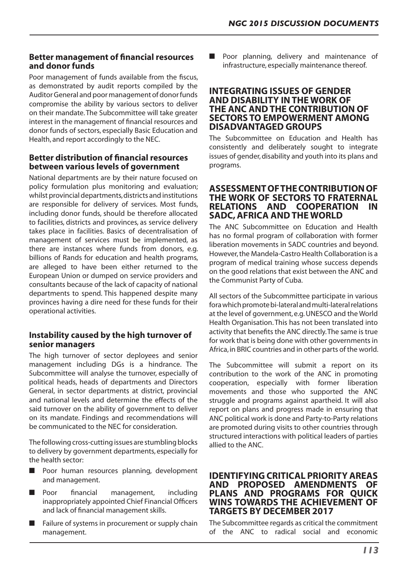# **Better management of financial resources and donor funds**

Poor management of funds available from the fiscus, as demonstrated by audit reports compiled by the Auditor General and poor management of donor funds compromise the ability by various sectors to deliver on their mandate.The Subcommittee will take greater interest in the management of financial resources and donor funds of sectors, especially Basic Education and Health, and report accordingly to the NEC.

# **Better distribution of financial resources between various levels of government**

National departments are by their nature focused on policy formulation plus monitoring and evaluation; whilst provincial departments,districts and institutions are responsible for delivery of services. Most funds, including donor funds, should be therefore allocated to facilities, districts and provinces, as service delivery takes place in facilities. Basics of decentralisation of management of services must be implemented, as there are instances where funds from donors, e.g. billions of Rands for education and health programs, are alleged to have been either returned to the European Union or dumped on service providers and consultants because of the lack of capacity of national departments to spend. This happened despite many provinces having a dire need for these funds for their operational activities.

# **Instability caused by the high turnover of senior managers**

The high turnover of sector deployees and senior management including DGs is a hindrance. The Subcommittee will analyse the turnover, especially of political heads, heads of departments and Directors General, in sector departments at district, provincial and national levels and determine the effects of the said turnover on the ability of government to deliver on its mandate. Findings and recommendations will be communicated to the NEC for consideration.

The following cross-cutting issues are stumbling blocks to delivery by government departments, especially for the health sector:

- Poor human resources planning, development and management.
- Poor financial management, including inappropriately appointed Chief Financial Officers and lack of financial management skills.
- Failure of systems in procurement or supply chain management.

■ Poor planning, delivery and maintenance of infrastructure, especially maintenance thereof.

# **INTEGRATING ISSUES OF GENDER AND DISABILITY IN THE WORK OF THE ANC AND THE CONTRIBUTION OF SECTORS TO EMPOWERMENT AMONG DISADVANTAGED GROUPS**

The Subcommittee on Education and Health has consistently and deliberately sought to integrate issues of gender, disability and youth into its plans and programs.

# **ASSESSMENT OF THE CONTRIBUTION OF THE WORK OF SECTORS TO FRATERNAL RELATIONS AND COOPERATION IN SADC, AFRICA AND THE WORLD**

The ANC Subcommittee on Education and Health has no formal program of collaboration with former liberation movements in SADC countries and beyond. However,the Mandela-Castro Health Collaboration is a program of medical training whose success depends on the good relations that exist between the ANC and the Communist Party of Cuba.

All sectors of the Subcommittee participate in various fora which promote bi-lateral and multi-lateral relations at the level of government, e.g.UNESCO and the World Health Organisation.This has not been translated into activity that benefits the ANC directly.The same is true for work that is being done with other governments in Africa,in BRIC countries and in other parts of the world.

The Subcommittee will submit a report on its contribution to the work of the ANC in promoting cooperation, especially with former liberation movements and those who supported the ANC struggle and programs against apartheid. It will also report on plans and progress made in ensuring that ANC political work is done and Party-to-Party relations are promoted during visits to other countries through structured interactions with political leaders of parties allied to the ANC.

# **IDENTIFYING CRITICAL PRIORITY AREAS AND PROPOSED AMENDMENTS OF PLANS AND PROGRAMS FOR QUICK WINS TOWARDS THE ACHIEVEMENT OF TARGETS BY DECEMBER 2017**

The Subcommittee regards as critical the commitment of the ANC to radical social and economic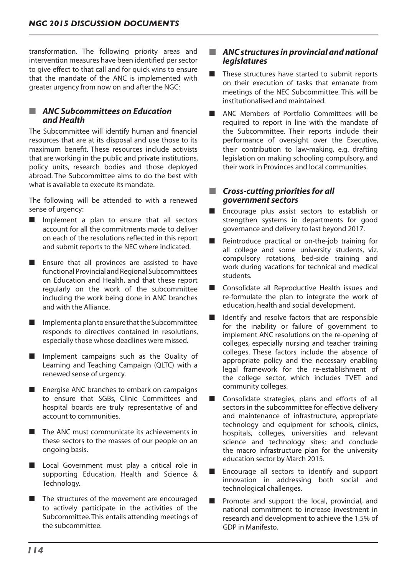transformation. The following priority areas and intervention measures have been identified per sector to give effect to that call and for quick wins to ensure that the mandate of the ANC is implemented with greater urgency from now on and after the NGC:

# ■ *ANC Subcommittees on Education and Health*

The Subcommittee will identify human and financial resources that are at its disposal and use those to its maximum benefit. These resources include activists that are working in the public and private institutions, policy units, research bodies and those deployed abroad. The Subcommittee aims to do the best with what is available to execute its mandate.

The following will be attended to with a renewed sense of urgency:

- Implement a plan to ensure that all sectors account for all the commitments made to deliver on each of the resolutions reflected in this report and submit reports to the NEC where indicated.
- Ensure that all provinces are assisted to have functional Provincial and Regional Subcommittees on Education and Health, and that these report regularly on the work of the subcommittee including the work being done in ANC branches and with the Alliance.
- Implement a plan to ensure that the Subcommittee responds to directives contained in resolutions, especially those whose deadlines were missed.
- Implement campaigns such as the Quality of Learning and Teaching Campaign (QLTC) with a renewed sense of urgency.
- Energise ANC branches to embark on campaigns to ensure that SGBs, Clinic Committees and hospital boards are truly representative of and account to communities.
- The ANC must communicate its achievements in these sectors to the masses of our people on an ongoing basis.
- Local Government must play a critical role in supporting Education, Health and Science & Technology.
- The structures of the movement are encouraged to actively participate in the activities of the Subcommittee.This entails attending meetings of the subcommittee.

# ■ *ANC structures in provincial and national legislatures*

- These structures have started to submit reports on their execution of tasks that emanate from meetings of the NEC Subcommittee. This will be institutionalised and maintained.
- ANC Members of Portfolio Committees will be required to report in line with the mandate of the Subcommittee. Their reports include their performance of oversight over the Executive, their contribution to law-making, e.g. drafting legislation on making schooling compulsory, and their work in Provinces and local communities.

# ■ *Cross-cutting priorities for all government sectors*

- Encourage plus assist sectors to establish or strengthen systems in departments for good governance and delivery to last beyond 2017.
- Reintroduce practical or on-the-job training for all college and some university students, viz. compulsory rotations, bed-side training and work during vacations for technical and medical students.
- Consolidate all Reproductive Health issues and re-formulate the plan to integrate the work of education, health and social development.
- Identify and resolve factors that are responsible for the inability or failure of government to implement ANC resolutions on the re-opening of colleges, especially nursing and teacher training colleges. These factors include the absence of appropriate policy and the necessary enabling legal framework for the re-establishment of the college sector, which includes TVET and community colleges.
- Consolidate strategies, plans and efforts of all sectors in the subcommittee for effective delivery and maintenance of infrastructure, appropriate technology and equipment for schools, clinics, hospitals, colleges, universities and relevant science and technology sites; and conclude the macro infrastructure plan for the university education sector by March 2015.
- Encourage all sectors to identify and support innovation in addressing both social and technological challenges.
- Promote and support the local, provincial, and national commitment to increase investment in research and development to achieve the 1,5% of GDP in Manifesto.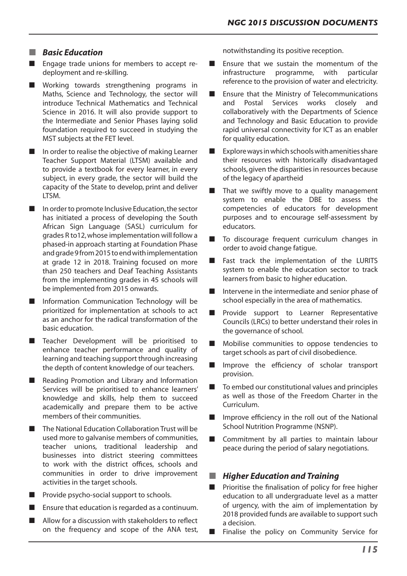# ■ *Basic Education*

- Engage trade unions for members to accept redeployment and re-skilling.
- Working towards strengthening programs in Maths, Science and Technology, the sector will introduce Technical Mathematics and Technical Science in 2016. It will also provide support to the Intermediate and Senior Phases laying solid foundation required to succeed in studying the MST subjects at the FET level.
- In order to realise the objective of making Learner Teacher Support Material (LTSM) available and to provide a textbook for every learner, in every subject, in every grade, the sector will build the capacity of the State to develop, print and deliver LTSM.
- In order to promote Inclusive Education, the sector has initiated a process of developing the South African Sign Language (SASL) curriculum for grades R to12,whose implementation will follow a phased-in approach starting at Foundation Phase andgrade9from2015toendwithimplementation at grade 12 in 2018. Training focused on more than 250 teachers and Deaf Teaching Assistants from the implementing grades in 45 schools will be implemented from 2015 onwards.
- Information Communication Technology will be prioritized for implementation at schools to act as an anchor for the radical transformation of the basic education.
- Teacher Development will be prioritised to enhance teacher performance and quality of learning and teaching support through increasing the depth of content knowledge of our teachers.
- Reading Promotion and Library and Information Services will be prioritised to enhance learners' knowledge and skills, help them to succeed academically and prepare them to be active members of their communities.
- The National Education Collaboration Trust will be used more to galvanise members of communities, teacher unions, traditional leadership and businesses into district steering committees to work with the district offices, schools and communities in order to drive improvement activities in the target schools.
- Provide psycho-social support to schools.
- Ensure that education is regarded as a continuum.
- Allow for a discussion with stakeholders to reflect on the frequency and scope of the ANA test,

notwithstanding its positive reception.

- Ensure that we sustain the momentum of the infrastructure programme, with particular reference to the provision of water and electricity.
- Ensure that the Ministry of Telecommunications and Postal Services works closely and collaboratively with the Departments of Science and Technology and Basic Education to provide rapid universal connectivity for ICT as an enabler for quality education.
- Explore ways in which schools with amenities share their resources with historically disadvantaged schools, given the disparities in resources because of the legacy of apartheid
- That we swiftly move to a quality management system to enable the DBE to assess the competencies of educators for development purposes and to encourage self-assessment by educators.
- To discourage frequent curriculum changes in order to avoid change fatigue.
- Fast track the implementation of the LURITS system to enable the education sector to track learners from basic to higher education.
- Intervene in the intermediate and senior phase of school especially in the area of mathematics.
- Provide support to Learner Representative Councils (LRCs) to better understand their roles in the governance of school.
- Mobilise communities to oppose tendencies to target schools as part of civil disobedience.
- Improve the efficiency of scholar transport provision.
- To embed our constitutional values and principles as well as those of the Freedom Charter in the Curriculum.
- Improve efficiency in the roll out of the National School Nutrition Programme (NSNP).
- Commitment by all parties to maintain labour peace during the period of salary negotiations.

# **Higher Education and Training**

- Prioritise the finalisation of policy for free higher education to all undergraduate level as a matter of urgency, with the aim of implementation by 2018 provided funds are available to support such a decision.
- Finalise the policy on Community Service for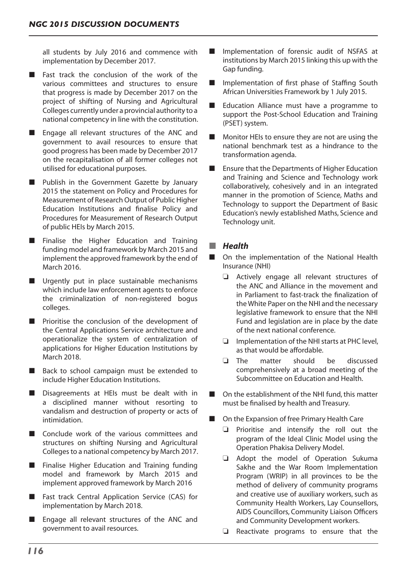all students by July 2016 and commence with implementation by December 2017.

- Fast track the conclusion of the work of the various committees and structures to ensure that progress is made by December 2017 on the project of shifting of Nursing and Agricultural Colleges currently under a provincial authority to a national competency in line with the constitution.
- Engage all relevant structures of the ANC and government to avail resources to ensure that good progress has been made by December 2017 on the recapitalisation of all former colleges not utilised for educational purposes.
- Publish in the Government Gazette by January 2015 the statement on Policy and Procedures for Measurement of Research Output of Public Higher Education Institutions and finalise Policy and Procedures for Measurement of Research Output of public HEIs by March 2015.
- Finalise the Higher Education and Training funding model and framework by March 2015 and implement the approved framework by the end of March 2016.
- Urgently put in place sustainable mechanisms which include law enforcement agents to enforce the criminalization of non-registered bogus colleges.
- Prioritise the conclusion of the development of the Central Applications Service architecture and operationalize the system of centralization of applications for Higher Education Institutions by March 2018.
- Back to school campaign must be extended to include Higher Education Institutions.
- Disagreements at HEIs must be dealt with in a disciplined manner without resorting to vandalism and destruction of property or acts of intimidation.
- Conclude work of the various committees and structures on shifting Nursing and Agricultural Collegesto a national competency by March 2017.
- Finalise Higher Education and Training funding model and framework by March 2015 and implement approved framework by March 2016
- Fast track Central Application Service (CAS) for implementation by March 2018.
- Engage all relevant structures of the ANC and government to avail resources.
- Implementation of forensic audit of NSFAS at institutions by March 2015 linking this up with the Gap funding.
- Implementation of first phase of Staffing South African Universities Framework by 1 July 2015.
- Education Alliance must have a programme to support the Post-School Education and Training (PSET) system.
- Monitor HEIs to ensure they are not are using the national benchmark test as a hindrance to the transformation agenda.
- Ensure that the Departments of Higher Education and Training and Science and Technology work collaboratively, cohesively and in an integrated manner in the promotion of Science, Maths and Technology to support the Department of Basic Education's newly established Maths, Science and Technology unit.

# ■ *Health*

- On the implementation of the National Health Insurance (NHI)
	- $\Box$  Actively engage all relevant structures of the ANC and Alliance in the movement and in Parliament to fast-track the finalization of the White Paper on the NHI and the necessary legislative framework to ensure that the NHI Fund and legislation are in place by the date of the next national conference.
	- $\Box$  Implementation of the NHI starts at PHC level, as that would be affordable.
	- $\Box$  The matter should be discussed comprehensively at a broad meeting of the Subcommittee on Education and Health.
- On the establishment of the NHI fund, this matter must be finalised by health and Treasury.
- On the Expansion of free Primary Health Care
	- $\Box$  Prioritise and intensify the roll out the program of the Ideal Clinic Model using the Operation Phakisa Delivery Model.
	- $\Box$  Adopt the model of Operation Sukuma Sakhe and the War Room Implementation Program (WRIP) in all provinces to be the method of delivery of community programs and creative use of auxiliary workers, such as Community Health Workers, Lay Counsellors, AIDS Councillors, Community Liaison Officers and Community Development workers.
	- $\Box$  Reactivate programs to ensure that the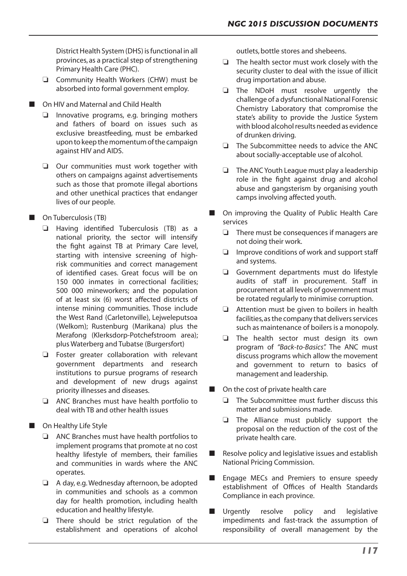District Health System (DHS) is functional in all provinces, as a practical step of strengthening Primary Health Care (PHC).

- $\Box$  Community Health Workers (CHW) must be absorbed into formal government employ.
- On HIV and Maternal and Child Health
	- $\Box$  Innovative programs, e.g. bringing mothers and fathers of board on issues such as exclusive breastfeeding, must be embarked upon to keep the momentum of the campaign against HIV and AIDS.
	- $\Box$  Our communities must work together with others on campaigns against advertisements such as those that promote illegal abortions and other unethical practices that endanger lives of our people.
- $\Box$  On Tuberculosis (TB)
	- $\Box$  Having identified Tuberculosis (TB) as a national priority, the sector will intensify the fight against TB at Primary Care level, starting with intensive screening of highrisk communities and correct management of identified cases. Great focus will be on 150 000 inmates in correctional facilities; 500 000 mineworkers; and the population of at least six (6) worst affected districts of intense mining communities. Those include the West Rand (Carletonville), Lejweleputsoa (Welkom); Rustenburg (Marikana) plus the Merafong (Klerksdorp-Potchefstroom area); plus Waterberg and Tubatse (Burgersfort)
	- $\Box$  Foster greater collaboration with relevant government departments and research institutions to pursue programs of research and development of new drugs against priority illnesses and diseases.
	- $\Box$  ANC Branches must have health portfolio to deal with TB and other health issues
- On Healthy Life Style
	- $\Box$  ANC Branches must have health portfolios to implement programs that promote at no cost healthy lifestyle of members, their families and communities in wards where the ANC operates.
	- $\Box$  A day, e.g. Wednesday afternoon, be adopted in communities and schools as a common day for health promotion, including health education and healthy lifestyle.
	- $\Box$  There should be strict regulation of the establishment and operations of alcohol

outlets, bottle stores and shebeens.

- $\Box$  The health sector must work closely with the security cluster to deal with the issue of illicit drug importation and abuse.
- $\Box$  The NDoH must resolve urgently the challenge of a dysfunctional National Forensic Chemistry Laboratory that compromise the state's ability to provide the Justice System with blood alcohol results needed as evidence of drunken driving.
- $\Box$  The Subcommittee needs to advice the ANC about socially-acceptable use of alcohol.
- $\Box$  The ANC Youth League must play a leadership role in the fight against drug and alcohol abuse and gangsterism by organising youth camps involving affected youth.
- On improving the Quality of Public Health Care services
	- $\Box$  There must be consequences if managers are not doing their work.
	- $\Box$  Improve conditions of work and support staff and systems.
	- $\Box$  Government departments must do lifestyle audits of staff in procurement. Staff in procurement at all levels of government must be rotated regularly to minimise corruption.
	- $\Box$  Attention must be given to boilers in health facilities, as the company that delivers services such as maintenance of boilers is a monopoly.
	- $\Box$  The health sector must design its own program of *"Back-to-Basics".* The ANC must discuss programs which allow the movement and government to return to basics of management and leadership.
- On the cost of private health care
	- $\Box$  The Subcommittee must further discuss this matter and submissions made.
	- $\Box$  The Alliance must publicly support the proposal on the reduction of the cost of the private health care.
- Resolve policy and legislative issues and establish National Pricing Commission.
- Engage MECs and Premiers to ensure speedy establishment of Offices of Health Standards Compliance in each province.
- **n** Urgently resolve policy and legislative impediments and fast-track the assumption of responsibility of overall management by the